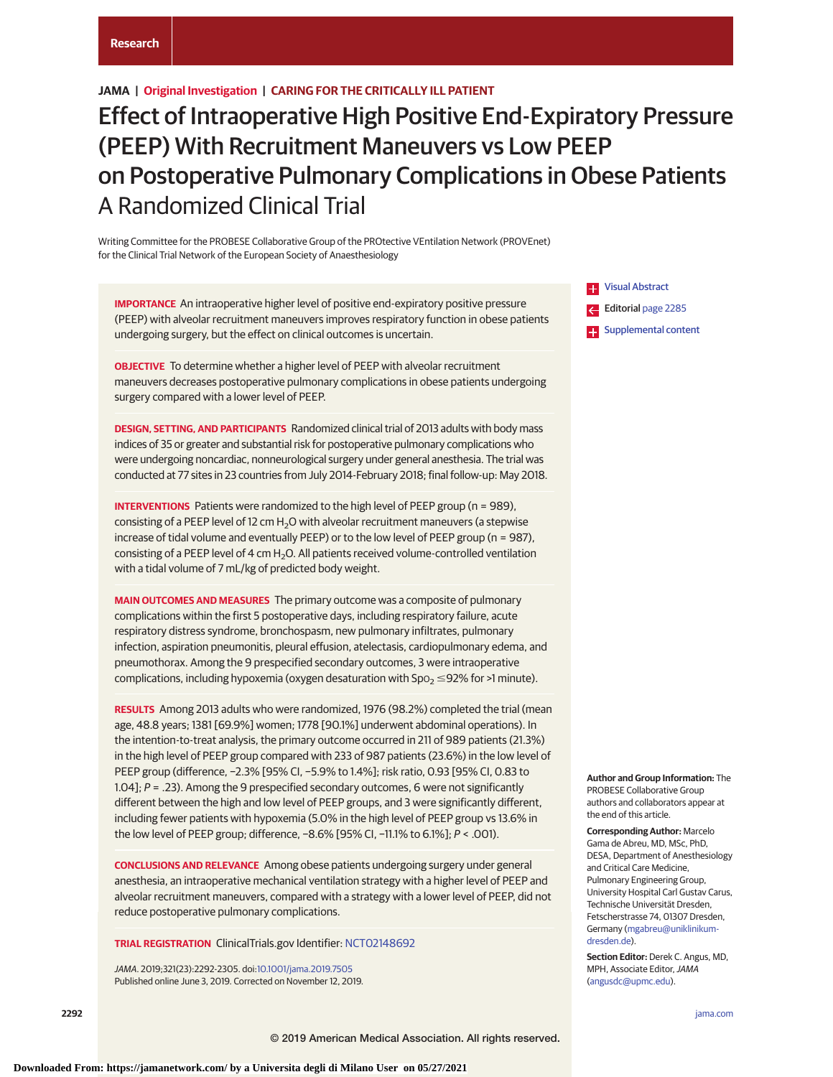# **Research**

# **JAMA | Original Investigation | CARING FOR THE CRITICALLY ILL PATIENT**

# Effect of Intraoperative High Positive End-Expiratory Pressure (PEEP) With Recruitment Maneuvers vs Low PEEP on Postoperative Pulmonary Complications in Obese Patients A Randomized Clinical Trial

Writing Committee for the PROBESE Collaborative Group of the PROtective VEntilation Network (PROVEnet) for the Clinical Trial Network of the European Society of Anaesthesiology

**IMPORTANCE** An intraoperative higher level of positive end-expiratory positive pressure (PEEP) with alveolar recruitment maneuvers improves respiratory function in obese patients undergoing surgery, but the effect on clinical outcomes is uncertain.

**OBJECTIVE** To determine whether a higher level of PEEP with alveolar recruitment maneuvers decreases postoperative pulmonary complications in obese patients undergoing surgery compared with a lower level of PEEP.

**DESIGN, SETTING, AND PARTICIPANTS** Randomized clinical trial of 2013 adults with body mass indices of 35 or greater and substantial risk for postoperative pulmonary complications who were undergoing noncardiac, nonneurological surgery under general anesthesia. The trial was conducted at 77 sites in 23 countries from July 2014-February 2018; final follow-up: May 2018.

**INTERVENTIONS** Patients were randomized to the high level of PEEP group (n = 989), consisting of a PEEP level of 12 cm  $H_2O$  with alveolar recruitment maneuvers (a stepwise increase of tidal volume and eventually PEEP) or to the low level of PEEP group (n = 987), consisting of a PEEP level of 4 cm H<sub>2</sub>O. All patients received volume-controlled ventilation with a tidal volume of 7 mL/kg of predicted body weight.

**MAIN OUTCOMES AND MEASURES** The primary outcome was a composite of pulmonary complications within the first 5 postoperative days, including respiratory failure, acute respiratory distress syndrome, bronchospasm, new pulmonary infiltrates, pulmonary infection, aspiration pneumonitis, pleural effusion, atelectasis, cardiopulmonary edema, and pneumothorax. Among the 9 prespecified secondary outcomes, 3 were intraoperative complications, including hypoxemia (oxygen desaturation with Spo $_2$   $\leq$ 92% for >1 minute).

**RESULTS** Among 2013 adults who were randomized, 1976 (98.2%) completed the trial (mean age, 48.8 years; 1381 [69.9%] women; 1778 [90.1%] underwent abdominal operations). In the intention-to-treat analysis, the primary outcome occurred in 211 of 989 patients (21.3%) in the high level of PEEP group compared with 233 of 987 patients (23.6%) in the low level of PEEP group (difference, −2.3% [95% CI, −5.9% to 1.4%]; risk ratio, 0.93 [95% CI, 0.83 to 1.04];  $P = 0.23$ . Among the 9 prespecified secondary outcomes, 6 were not significantly different between the high and low level of PEEP groups, and 3 were significantly different, including fewer patients with hypoxemia (5.0% in the high level of PEEP group vs 13.6% in the low level of PEEP group; difference, −8.6% [95% CI, −11.1% to 6.1%]; P < .001).

**CONCLUSIONS AND RELEVANCE** Among obese patients undergoing surgery under general anesthesia, an intraoperative mechanical ventilation strategy with a higher level of PEEP and alveolar recruitment maneuvers, compared with a strategy with a lower level of PEEP, did not reduce postoperative pulmonary complications.

**TRIAL REGISTRATION** ClinicalTrials.gov Identifier: [NCT02148692](https://clinicaltrials.gov/ct2/show/NCT02148692?id=NCT02148692&rank=1)

JAMA. 2019;321(23):2292-2305. doi[:10.1001/jama.2019.7505](https://jama.jamanetwork.com/article.aspx?doi=10.1001/jama.2019.7505&utm_campaign=articlePDF%26utm_medium=articlePDFlink%26utm_source=articlePDF%26utm_content=jama.2019.7505) Published online June 3, 2019. Corrected on November 12, 2019. **ES** [Visual Abstract](https://jama.jamanetwork.com/article.aspx?doi=10.1001/jama.2019.7505&utm_campaign=articlePDF%26utm_medium=articlePDFlink%26utm_source=articlePDF%26utm_content=jama.2019.7505) Editorial [page 2285](https://jama.jamanetwork.com/article.aspx?doi=10.1001/jama.2019.7540&utm_campaign=articlePDF%26utm_medium=articlePDFlink%26utm_source=articlePDF%26utm_content=jama.2019.7505) **[Supplemental content](https://jama.jamanetwork.com/article.aspx?doi=10.1001/jama.2019.7505&utm_campaign=articlePDF%26utm_medium=articlePDFlink%26utm_source=articlePDF%26utm_content=jama.2019.7505)** 

**Author and Group Information:** The PROBESE Collaborative Group authors and collaborators appear at the end of this article.

**Corresponding Author:** Marcelo Gama de Abreu, MD, MSc, PhD, DESA, Department of Anesthesiology and Critical Care Medicine, Pulmonary Engineering Group, University Hospital Carl Gustav Carus, Technische Universität Dresden, Fetscherstrasse 74, 01307 Dresden, Germany [\(mgabreu@uniklinikum](mailto:mgabreu@uniklinikum-dresden.de)[dresden.de\)](mailto:mgabreu@uniklinikum-dresden.de).

**Section Editor:** Derek C. Angus, MD, MPH, Associate Editor, JAMA [\(angusdc@upmc.edu\)](mailto:angusdc@upmc.edu).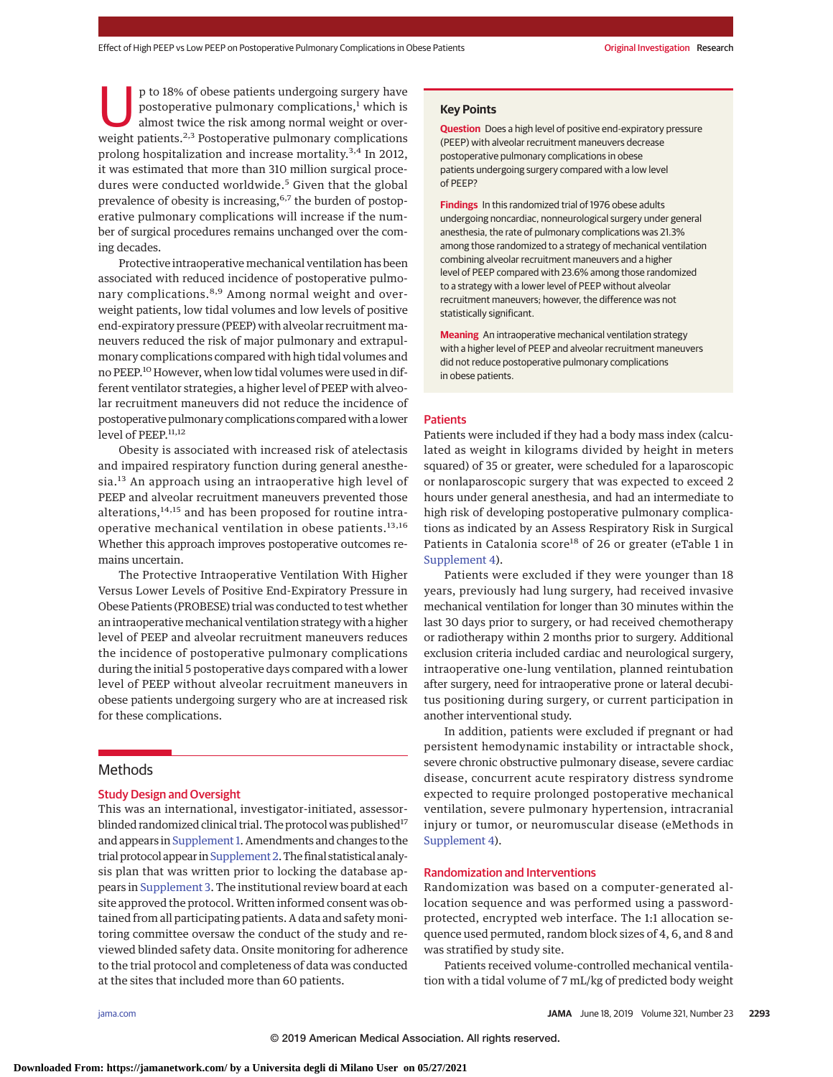p to 18% of obese patients undergoing surgery have<br>postoperative pulmonary complications,<sup>1</sup> which is<br>almost twice the risk among normal weight or over-<br>weight patients.<sup>2,3</sup> Postoperative pulmonary complications postoperative pulmonary complications, $<sup>1</sup>$  which is</sup> weight patients.<sup>2,3</sup> Postoperative pulmonary complications prolong hospitalization and increase mortality.3,4 In 2012, it was estimated that more than 310 million surgical procedures were conducted worldwide.<sup>5</sup> Given that the global prevalence of obesity is increasing,<sup>6,7</sup> the burden of postoperative pulmonary complications will increase if the number of surgical procedures remains unchanged over the coming decades.

Protective intraoperative mechanical ventilation has been associated with reduced incidence of postoperative pulmonary complications.<sup>8,9</sup> Among normal weight and overweight patients, low tidal volumes and low levels of positive end-expiratory pressure (PEEP) with alveolar recruitment maneuvers reduced the risk of major pulmonary and extrapulmonary complications compared with high tidal volumes and no PEEP.<sup>10</sup> However, when low tidal volumes were used in different ventilator strategies, a higher level of PEEP with alveolar recruitment maneuvers did not reduce the incidence of postoperative pulmonary complications compared with a lower level of PEEP.<sup>11,12</sup>

Obesity is associated with increased risk of atelectasis and impaired respiratory function during general anesthesia.<sup>13</sup> An approach using an intraoperative high level of PEEP and alveolar recruitment maneuvers prevented those alterations, $14,15$  and has been proposed for routine intraoperative mechanical ventilation in obese patients.13,16 Whether this approach improves postoperative outcomes remains uncertain.

The Protective Intraoperative Ventilation With Higher Versus Lower Levels of Positive End-Expiratory Pressure in Obese Patients (PROBESE) trial was conducted to test whether an intraoperative mechanical ventilation strategy with a higher level of PEEP and alveolar recruitment maneuvers reduces the incidence of postoperative pulmonary complications during the initial 5 postoperative days compared with a lower level of PEEP without alveolar recruitment maneuvers in obese patients undergoing surgery who are at increased risk for these complications.

# Methods

# Study Design and Oversight

This was an international, investigator-initiated, assessorblinded randomized clinical trial. The protocol was published<sup>17</sup> and appears in [Supplement 1.](https://jama.jamanetwork.com/article.aspx?doi=10.1001/jama.2019.7505&utm_campaign=articlePDF%26utm_medium=articlePDFlink%26utm_source=articlePDF%26utm_content=jama.2019.7505) Amendments and changes to the trial protocol appear in [Supplement 2.](https://jama.jamanetwork.com/article.aspx?doi=10.1001/jama.2019.7505&utm_campaign=articlePDF%26utm_medium=articlePDFlink%26utm_source=articlePDF%26utm_content=jama.2019.7505) The final statistical analysis plan that was written prior to locking the database appears in [Supplement 3.](https://jama.jamanetwork.com/article.aspx?doi=10.1001/jama.2019.7505&utm_campaign=articlePDF%26utm_medium=articlePDFlink%26utm_source=articlePDF%26utm_content=jama.2019.7505) The institutional review board at each site approved the protocol. Written informed consent was obtained from all participating patients. A data and safety monitoring committee oversaw the conduct of the study and reviewed blinded safety data. Onsite monitoring for adherence to the trial protocol and completeness of data was conducted at the sites that included more than 60 patients.

# **Key Points**

**Question** Does a high level of positive end-expiratory pressure (PEEP) with alveolar recruitment maneuvers decrease postoperative pulmonary complications in obese patients undergoing surgery compared with a low level of PEEP?

**Findings** In this randomized trial of 1976 obese adults undergoing noncardiac, nonneurological surgery under general anesthesia, the rate of pulmonary complications was 21.3% among those randomized to a strategy of mechanical ventilation combining alveolar recruitment maneuvers and a higher level of PEEP compared with 23.6% among those randomized to a strategy with a lower level of PEEP without alveolar recruitment maneuvers; however, the difference was not statistically significant.

**Meaning** An intraoperative mechanical ventilation strategy with a higher level of PEEP and alveolar recruitment maneuvers did not reduce postoperative pulmonary complications in obese patients.

## **Patients**

Patients were included if they had a body mass index (calculated as weight in kilograms divided by height in meters squared) of 35 or greater, were scheduled for a laparoscopic or nonlaparoscopic surgery that was expected to exceed 2 hours under general anesthesia, and had an intermediate to high risk of developing postoperative pulmonary complications as indicated by an Assess Respiratory Risk in Surgical Patients in Catalonia score<sup>18</sup> of 26 or greater (eTable 1 in [Supplement 4\)](https://jama.jamanetwork.com/article.aspx?doi=10.1001/jama.2019.7505&utm_campaign=articlePDF%26utm_medium=articlePDFlink%26utm_source=articlePDF%26utm_content=jama.2019.7505).

Patients were excluded if they were younger than 18 years, previously had lung surgery, had received invasive mechanical ventilation for longer than 30 minutes within the last 30 days prior to surgery, or had received chemotherapy or radiotherapy within 2 months prior to surgery. Additional exclusion criteria included cardiac and neurological surgery, intraoperative one-lung ventilation, planned reintubation after surgery, need for intraoperative prone or lateral decubitus positioning during surgery, or current participation in another interventional study.

In addition, patients were excluded if pregnant or had persistent hemodynamic instability or intractable shock, severe chronic obstructive pulmonary disease, severe cardiac disease, concurrent acute respiratory distress syndrome expected to require prolonged postoperative mechanical ventilation, severe pulmonary hypertension, intracranial injury or tumor, or neuromuscular disease (eMethods in [Supplement 4\)](https://jama.jamanetwork.com/article.aspx?doi=10.1001/jama.2019.7505&utm_campaign=articlePDF%26utm_medium=articlePDFlink%26utm_source=articlePDF%26utm_content=jama.2019.7505).

# Randomization and Interventions

Randomization was based on a computer-generated allocation sequence and was performed using a passwordprotected, encrypted web interface. The 1:1 allocation sequence used permuted, random block sizes of 4, 6, and 8 and was stratified by study site.

Patients received volume-controlled mechanical ventilation with a tidal volume of 7 mL/kg of predicted body weight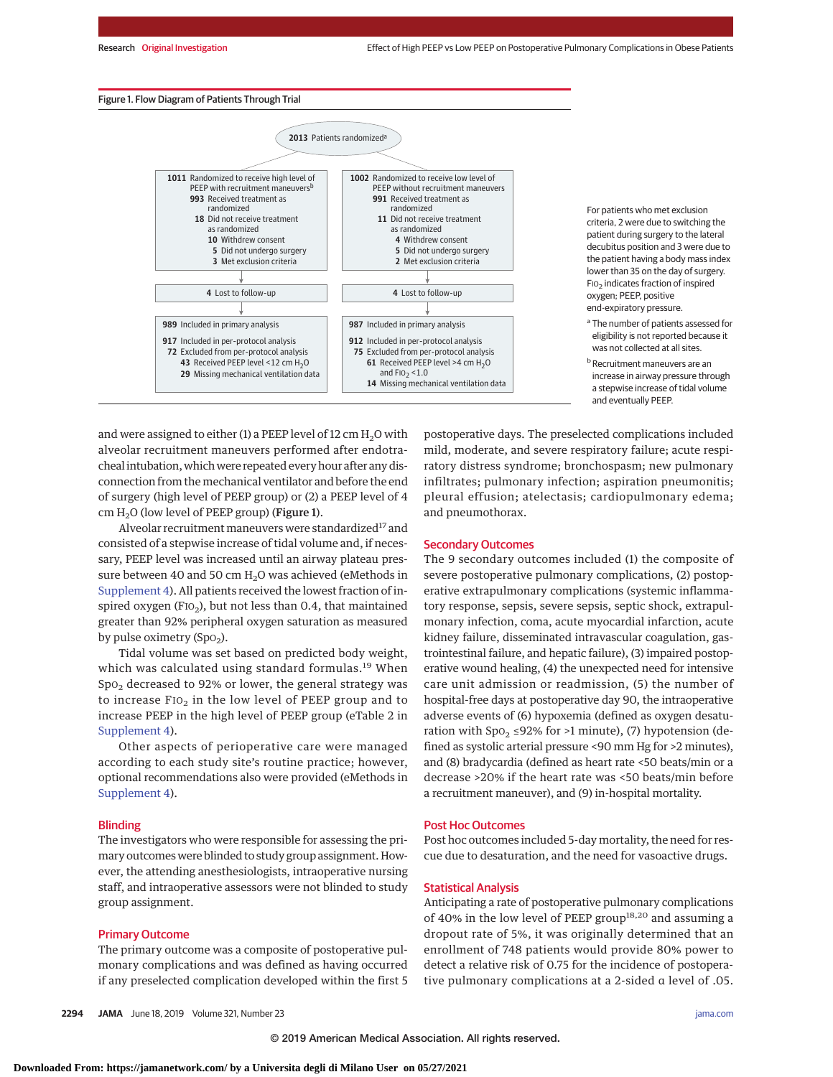#### Figure 1. Flow Diagram of Patients Through Trial



For patients who met exclusion criteria, 2 were due to switching the patient during surgery to the lateral decubitus position and 3 were due to the patient having a body mass index lower than 35 on the day of surgery. FIO2 indicates fraction of inspired oxygen; PEEP, positive end-expiratory pressure.

**b** Recruitment maneuvers are an increase in airway pressure through a stepwise increase of tidal volume and eventually PEEP.

and were assigned to either (1) a PEEP level of  $12 \text{ cm H}_2\text{O}$  with alveolar recruitment maneuvers performed after endotracheal intubation, which were repeated every hour after any disconnection from the mechanical ventilator and before the end of surgery (high level of PEEP group) or (2) a PEEP level of 4 cm  $H<sub>2</sub>O$  (low level of PEEP group) (Figure 1).

Alveolar recruitment maneuvers were standardized<sup>17</sup> and consisted of a stepwise increase of tidal volume and, if necessary, PEEP level was increased until an airway plateau pressure between 40 and 50 cm  $H<sub>2</sub>O$  was achieved (eMethods in [Supplement 4\)](https://jama.jamanetwork.com/article.aspx?doi=10.1001/jama.2019.7505&utm_campaign=articlePDF%26utm_medium=articlePDFlink%26utm_source=articlePDF%26utm_content=jama.2019.7505). All patients received the lowest fraction of inspired oxygen (FIO<sub>2</sub>), but not less than 0.4, that maintained greater than 92% peripheral oxygen saturation as measured by pulse oximetry  $(Spo<sub>2</sub>)$ .

Tidal volume was set based on predicted body weight, which was calculated using standard formulas.<sup>19</sup> When Spo<sub>2</sub> decreased to 92% or lower, the general strategy was to increase FIO<sub>2</sub> in the low level of PEEP group and to increase PEEP in the high level of PEEP group (eTable 2 in [Supplement 4\)](https://jama.jamanetwork.com/article.aspx?doi=10.1001/jama.2019.7505&utm_campaign=articlePDF%26utm_medium=articlePDFlink%26utm_source=articlePDF%26utm_content=jama.2019.7505).

Other aspects of perioperative care were managed according to each study site's routine practice; however, optional recommendations also were provided (eMethods in [Supplement 4\)](https://jama.jamanetwork.com/article.aspx?doi=10.1001/jama.2019.7505&utm_campaign=articlePDF%26utm_medium=articlePDFlink%26utm_source=articlePDF%26utm_content=jama.2019.7505).

#### Blinding

The investigators who were responsible for assessing the primary outcomes were blinded to study group assignment. However, the attending anesthesiologists, intraoperative nursing staff, and intraoperative assessors were not blinded to study group assignment.

## Primary Outcome

The primary outcome was a composite of postoperative pulmonary complications and was defined as having occurred if any preselected complication developed within the first 5 postoperative days. The preselected complications included mild, moderate, and severe respiratory failure; acute respiratory distress syndrome; bronchospasm; new pulmonary infiltrates; pulmonary infection; aspiration pneumonitis; pleural effusion; atelectasis; cardiopulmonary edema; and pneumothorax.

#### Secondary Outcomes

The 9 secondary outcomes included (1) the composite of severe postoperative pulmonary complications, (2) postoperative extrapulmonary complications (systemic inflammatory response, sepsis, severe sepsis, septic shock, extrapulmonary infection, coma, acute myocardial infarction, acute kidney failure, disseminated intravascular coagulation, gastrointestinal failure, and hepatic failure), (3) impaired postoperative wound healing, (4) the unexpected need for intensive care unit admission or readmission, (5) the number of hospital-free days at postoperative day 90, the intraoperative adverse events of (6) hypoxemia (defined as oxygen desaturation with  $Spo<sub>2</sub> \leq 92\%$  for >1 minute), (7) hypotension (defined as systolic arterial pressure <90 mm Hg for >2 minutes), and (8) bradycardia (defined as heart rate <50 beats/min or a decrease >20% if the heart rate was <50 beats/min before a recruitment maneuver), and (9) in-hospital mortality.

### Post Hoc Outcomes

Post hoc outcomes included 5-day mortality, the need for rescue due to desaturation, and the need for vasoactive drugs.

#### Statistical Analysis

Anticipating a rate of postoperative pulmonary complications of 40% in the low level of PEEP group<sup>18,20</sup> and assuming a dropout rate of 5%, it was originally determined that an enrollment of 748 patients would provide 80% power to detect a relative risk of 0.75 for the incidence of postoperative pulmonary complications at a 2-sided α level of .05.

<sup>&</sup>lt;sup>a</sup> The number of patients assessed for eligibility is not reported because it was not collected at all sites.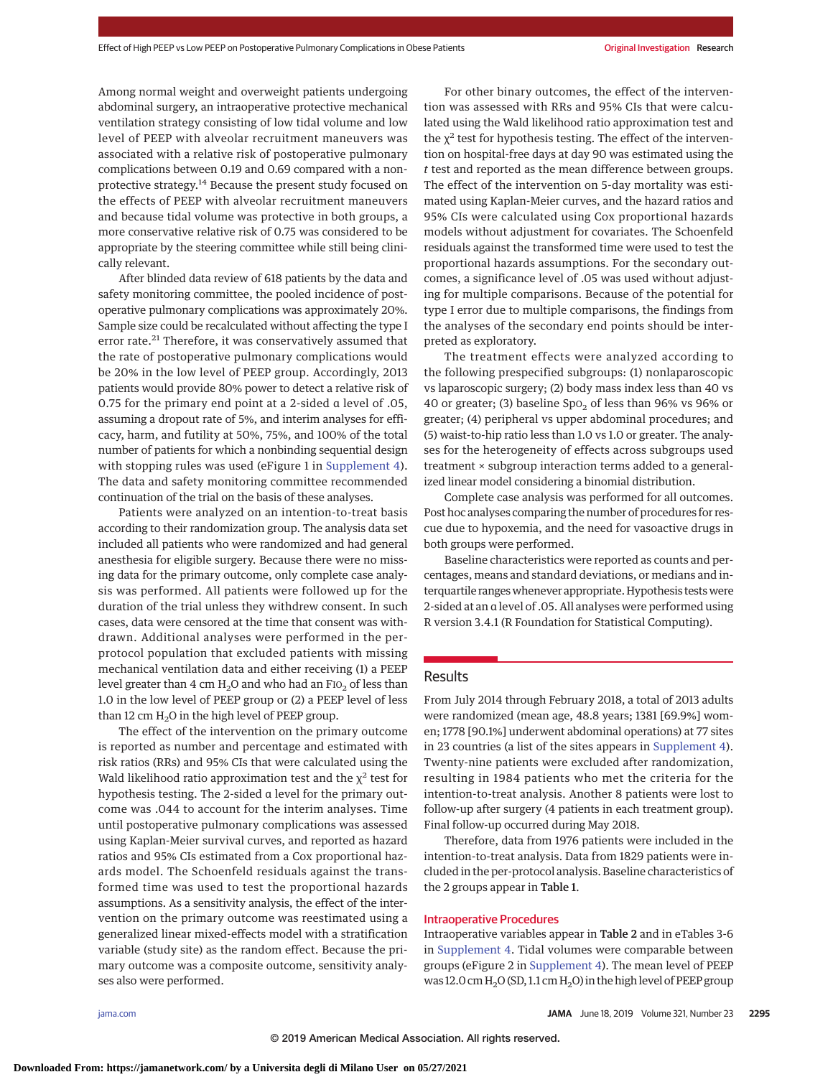Among normal weight and overweight patients undergoing abdominal surgery, an intraoperative protective mechanical ventilation strategy consisting of low tidal volume and low level of PEEP with alveolar recruitment maneuvers was associated with a relative risk of postoperative pulmonary complications between 0.19 and 0.69 compared with a nonprotective strategy.<sup>14</sup> Because the present study focused on the effects of PEEP with alveolar recruitment maneuvers and because tidal volume was protective in both groups, a more conservative relative risk of 0.75 was considered to be appropriate by the steering committee while still being clinically relevant.

After blinded data review of 618 patients by the data and safety monitoring committee, the pooled incidence of postoperative pulmonary complications was approximately 20%. Sample size could be recalculated without affecting the type I error rate.<sup>21</sup> Therefore, it was conservatively assumed that the rate of postoperative pulmonary complications would be 20% in the low level of PEEP group. Accordingly, 2013 patients would provide 80% power to detect a relative risk of 0.75 for the primary end point at a 2-sided α level of .05, assuming a dropout rate of 5%, and interim analyses for efficacy, harm, and futility at 50%, 75%, and 100% of the total number of patients for which a nonbinding sequential design with stopping rules was used (eFigure 1 in [Supplement 4\)](https://jama.jamanetwork.com/article.aspx?doi=10.1001/jama.2019.7505&utm_campaign=articlePDF%26utm_medium=articlePDFlink%26utm_source=articlePDF%26utm_content=jama.2019.7505). The data and safety monitoring committee recommended continuation of the trial on the basis of these analyses.

Patients were analyzed on an intention-to-treat basis according to their randomization group. The analysis data set included all patients who were randomized and had general anesthesia for eligible surgery. Because there were no missing data for the primary outcome, only complete case analysis was performed. All patients were followed up for the duration of the trial unless they withdrew consent. In such cases, data were censored at the time that consent was withdrawn. Additional analyses were performed in the perprotocol population that excluded patients with missing mechanical ventilation data and either receiving (1) a PEEP level greater than 4 cm  $H_2O$  and who had an FIO<sub>2</sub> of less than 1.0 in the low level of PEEP group or (2) a PEEP level of less than 12 cm  $H_2O$  in the high level of PEEP group.

The effect of the intervention on the primary outcome is reported as number and percentage and estimated with risk ratios (RRs) and 95% CIs that were calculated using the Wald likelihood ratio approximation test and the  $\chi^2$  test for hypothesis testing. The 2-sided α level for the primary outcome was .044 to account for the interim analyses. Time until postoperative pulmonary complications was assessed using Kaplan-Meier survival curves, and reported as hazard ratios and 95% CIs estimated from a Cox proportional hazards model. The Schoenfeld residuals against the transformed time was used to test the proportional hazards assumptions. As a sensitivity analysis, the effect of the intervention on the primary outcome was reestimated using a generalized linear mixed-effects model with a stratification variable (study site) as the random effect. Because the primary outcome was a composite outcome, sensitivity analyses also were performed.

For other binary outcomes, the effect of the intervention was assessed with RRs and 95% CIs that were calculated using the Wald likelihood ratio approximation test and the  $\chi^2$  test for hypothesis testing. The effect of the intervention on hospital-free days at day 90 was estimated using the *t* test and reported as the mean difference between groups. The effect of the intervention on 5-day mortality was estimated using Kaplan-Meier curves, and the hazard ratios and 95% CIs were calculated using Cox proportional hazards models without adjustment for covariates. The Schoenfeld residuals against the transformed time were used to test the proportional hazards assumptions. For the secondary outcomes, a significance level of .05 was used without adjusting for multiple comparisons. Because of the potential for type I error due to multiple comparisons, the findings from the analyses of the secondary end points should be interpreted as exploratory.

The treatment effects were analyzed according to the following prespecified subgroups: (1) nonlaparoscopic vs laparoscopic surgery; (2) body mass index less than 40 vs 40 or greater; (3) baseline  $Spo<sub>2</sub>$  of less than 96% vs 96% or greater; (4) peripheral vs upper abdominal procedures; and (5) waist-to-hip ratio less than 1.0 vs 1.0 or greater. The analyses for the heterogeneity of effects across subgroups used treatment × subgroup interaction terms added to a generalized linear model considering a binomial distribution.

Complete case analysis was performed for all outcomes. Post hoc analyses comparing the number of procedures for rescue due to hypoxemia, and the need for vasoactive drugs in both groups were performed.

Baseline characteristics were reported as counts and percentages, means and standard deviations, or medians and interquartile rangeswhenever appropriate. Hypothesis testswere 2-sided at an α level of .05. All analyses were performed using R version 3.4.1 (R Foundation for Statistical Computing).

# **Results**

From July 2014 through February 2018, a total of 2013 adults were randomized (mean age, 48.8 years; 1381 [69.9%] women; 1778 [90.1%] underwent abdominal operations) at 77 sites in 23 countries (a list of the sites appears in [Supplement 4\)](https://jama.jamanetwork.com/article.aspx?doi=10.1001/jama.2019.7505&utm_campaign=articlePDF%26utm_medium=articlePDFlink%26utm_source=articlePDF%26utm_content=jama.2019.7505). Twenty-nine patients were excluded after randomization, resulting in 1984 patients who met the criteria for the intention-to-treat analysis. Another 8 patients were lost to follow-up after surgery (4 patients in each treatment group). Final follow-up occurred during May 2018.

Therefore, data from 1976 patients were included in the intention-to-treat analysis. Data from 1829 patients were included in the per-protocol analysis. Baseline characteristics of the 2 groups appear in Table 1.

## Intraoperative Procedures

Intraoperative variables appear in Table 2 and in eTables 3-6 in [Supplement 4.](https://jama.jamanetwork.com/article.aspx?doi=10.1001/jama.2019.7505&utm_campaign=articlePDF%26utm_medium=articlePDFlink%26utm_source=articlePDF%26utm_content=jama.2019.7505) Tidal volumes were comparable between groups (eFigure 2 in [Supplement 4\)](https://jama.jamanetwork.com/article.aspx?doi=10.1001/jama.2019.7505&utm_campaign=articlePDF%26utm_medium=articlePDFlink%26utm_source=articlePDF%26utm_content=jama.2019.7505). The mean level of PEEP was 12.0 cm  $H_2O(SD, 1.1 cm H_2O)$  in the high level of PEEP group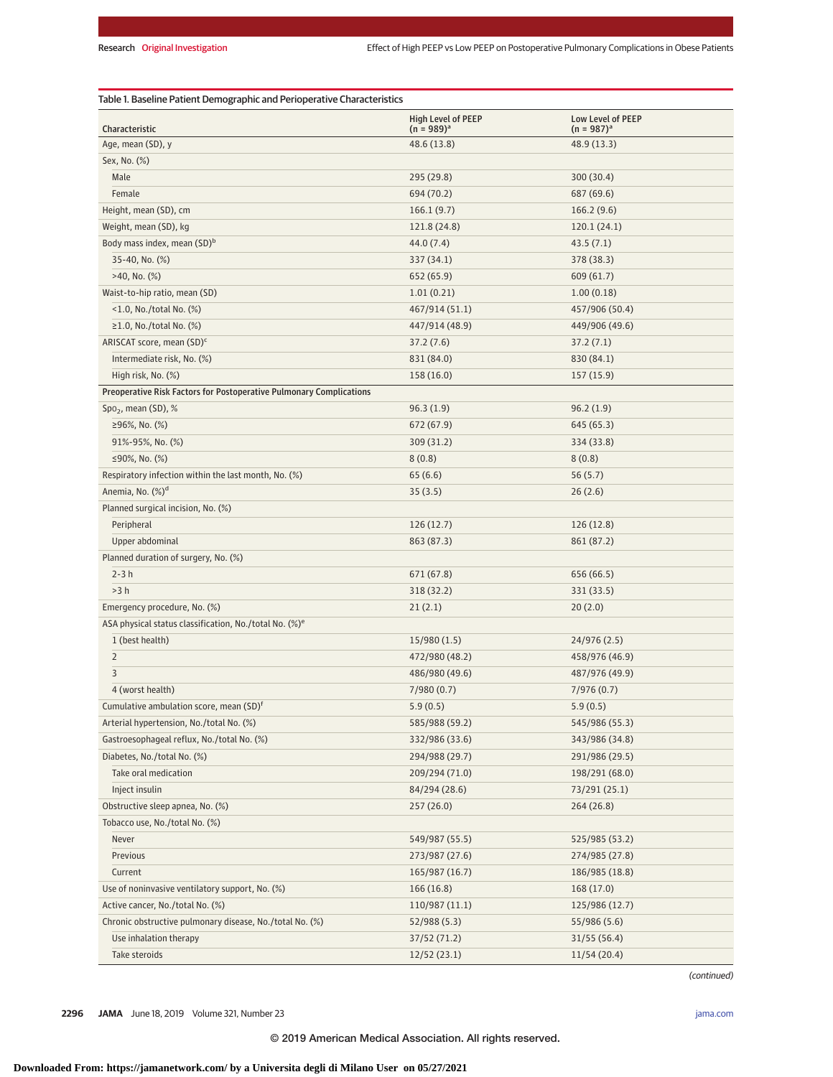| Characteristic                                                      | <b>High Level of PEEP</b><br>$(n = 989)^{a}$ | Low Level of PEEP<br>$(n = 987)^{a}$ |
|---------------------------------------------------------------------|----------------------------------------------|--------------------------------------|
| Age, mean (SD), y                                                   | 48.6 (13.8)                                  | 48.9 (13.3)                          |
| Sex, No. (%)                                                        |                                              |                                      |
| Male                                                                | 295 (29.8)                                   | 300 (30.4)                           |
| Female                                                              | 694 (70.2)                                   | 687 (69.6)                           |
| Height, mean (SD), cm                                               | 166.1(9.7)                                   | 166.2(9.6)                           |
| Weight, mean (SD), kg                                               | 121.8 (24.8)                                 | 120.1(24.1)                          |
| Body mass index, mean (SD) <sup>b</sup>                             | 44.0(7.4)                                    | 43.5(7.1)                            |
| 35-40, No. (%)                                                      | 337 (34.1)                                   | 378 (38.3)                           |
| $>40$ , No. $(\%)$                                                  | 652 (65.9)                                   | 609 (61.7)                           |
| Waist-to-hip ratio, mean (SD)                                       | 1.01(0.21)                                   | 1.00(0.18)                           |
| $<$ 1.0, No./total No. (%)                                          | 467/914 (51.1)                               | 457/906 (50.4)                       |
| $\geq$ 1.0, No./total No. (%)                                       | 447/914 (48.9)                               | 449/906 (49.6)                       |
| ARISCAT score, mean (SD) <sup>c</sup>                               | 37.2(7.6)                                    | 37.2(7.1)                            |
| Intermediate risk, No. (%)                                          | 831 (84.0)                                   | 830 (84.1)                           |
| High risk, No. (%)                                                  | 158(16.0)                                    | 157 (15.9)                           |
| Preoperative Risk Factors for Postoperative Pulmonary Complications |                                              |                                      |
| $Spo2$ , mean (SD), %                                               | 96.3(1.9)                                    | 96.2(1.9)                            |
| ≥96%, No. $(\%)$                                                    | 672 (67.9)                                   | 645 (65.3)                           |
| 91%-95%, No. (%)                                                    | 309(31.2)                                    | 334 (33.8)                           |
| ≤90%, No. $(\%)$                                                    | 8(0.8)                                       | 8(0.8)                               |
| Respiratory infection within the last month, No. (%)                | 65(6.6)                                      | 56(5.7)                              |
| Anemia, No. (%) <sup>d</sup>                                        | 35(3.5)                                      | 26(2.6)                              |
| Planned surgical incision, No. (%)                                  |                                              |                                      |
| Peripheral                                                          | 126(12.7)                                    | 126 (12.8)                           |
| Upper abdominal                                                     |                                              |                                      |
| Planned duration of surgery, No. (%)                                | 863 (87.3)                                   | 861 (87.2)                           |
| $2-3h$                                                              |                                              |                                      |
| >3 h                                                                | 671 (67.8)                                   | 656 (66.5)                           |
|                                                                     | 318 (32.2)                                   | 331 (33.5)                           |
| Emergency procedure, No. (%)                                        | 21(2.1)                                      | 20(2.0)                              |
| ASA physical status classification, No./total No. (%) <sup>e</sup>  |                                              |                                      |
| 1 (best health)                                                     | 15/980(1.5)                                  | 24/976 (2.5)                         |
| $\overline{2}$                                                      | 472/980 (48.2)                               | 458/976 (46.9)                       |
| 3                                                                   | 486/980 (49.6)                               | 487/976 (49.9)                       |
| 4 (worst health)                                                    | 7/980(0.7)                                   | 7/976(0.7)                           |
| Cumulative ambulation score, mean (SD) <sup>f</sup>                 | 5.9(0.5)                                     | 5.9(0.5)                             |
| Arterial hypertension, No./total No. (%)                            | 585/988 (59.2)                               | 545/986 (55.3)                       |
| Gastroesophageal reflux, No./total No. (%)                          | 332/986 (33.6)                               | 343/986 (34.8)                       |
| Diabetes, No./total No. (%)                                         | 294/988 (29.7)                               | 291/986 (29.5)                       |
| Take oral medication                                                | 209/294 (71.0)                               | 198/291 (68.0)                       |
| Inject insulin                                                      | 84/294 (28.6)                                | 73/291 (25.1)                        |
| Obstructive sleep apnea, No. (%)                                    | 257(26.0)                                    | 264(26.8)                            |
| Tobacco use, No./total No. (%)                                      |                                              |                                      |
| Never                                                               | 549/987 (55.5)                               | 525/985 (53.2)                       |
| Previous                                                            | 273/987 (27.6)                               | 274/985 (27.8)                       |
| Current                                                             | 165/987 (16.7)                               | 186/985 (18.8)                       |
| Use of noninvasive ventilatory support, No. (%)                     | 166(16.8)                                    | 168 (17.0)                           |
| Active cancer, No./total No. (%)                                    | 110/987 (11.1)                               | 125/986 (12.7)                       |
| Chronic obstructive pulmonary disease, No./total No. (%)            | 52/988 (5.3)                                 | 55/986 (5.6)                         |
| Use inhalation therapy                                              | 37/52 (71.2)                                 | 31/55(56.4)                          |
| Take steroids                                                       | 12/52(23.1)                                  | 11/54(20.4)                          |

(continued)

**2296 JAMA** June 18, 2019 Volume 321, Number 23 **(Reprinted)** [jama.com](http://www.jama.com/?utm_campaign=articlePDF%26utm_medium=articlePDFlink%26utm_source=articlePDF%26utm_content=jama.2019.7505)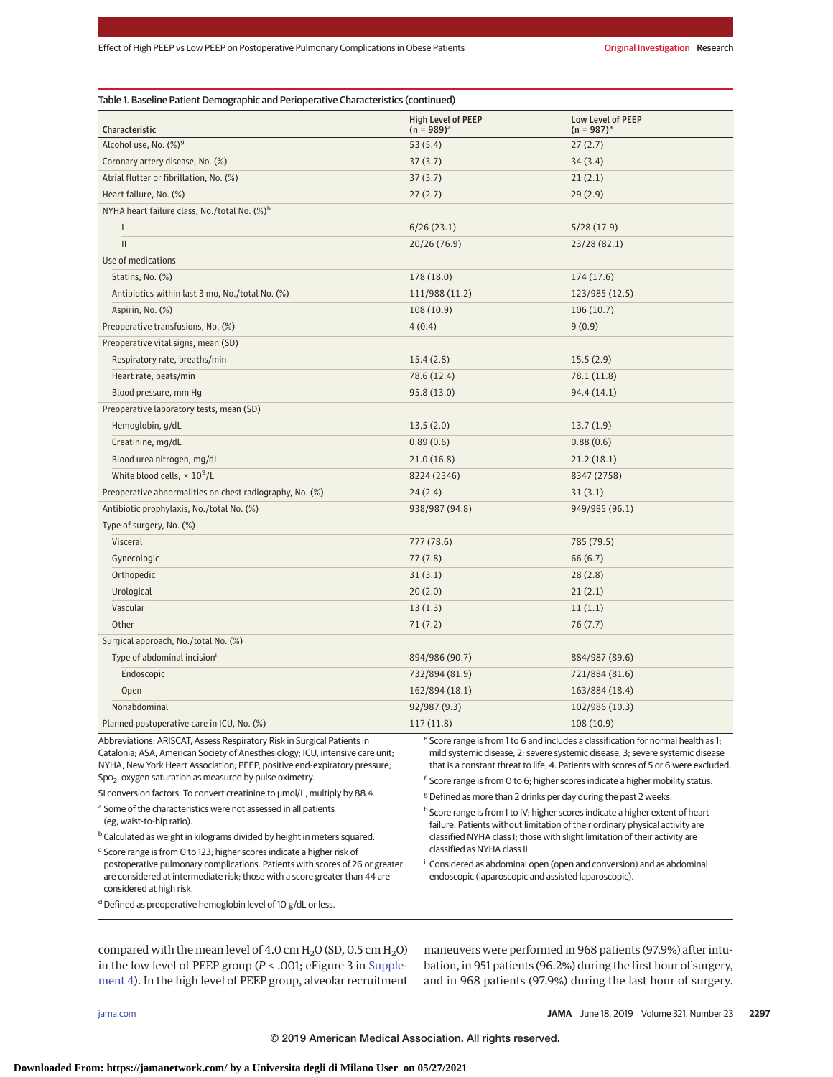| Characteristic                                           | <b>High Level of PEEP</b><br>$(n = 989)^{a}$ | <b>Low Level of PEEP</b><br>$(n = 987)^{a}$ |
|----------------------------------------------------------|----------------------------------------------|---------------------------------------------|
| Alcohol use, No. (%) <sup>9</sup>                        | 53(5.4)                                      | 27(2.7)                                     |
| Coronary artery disease, No. (%)                         | 37(3.7)                                      | 34(3.4)                                     |
| Atrial flutter or fibrillation, No. (%)                  | 37(3.7)                                      | 21(2.1)                                     |
| Heart failure, No. (%)                                   | 27(2.7)                                      | 29(2.9)                                     |
| NYHA heart failure class, No./total No. (%) <sup>h</sup> |                                              |                                             |
| I                                                        | 6/26(23.1)                                   | 5/28(17.9)                                  |
| $\mathsf{II}$                                            | 20/26 (76.9)                                 | 23/28 (82.1)                                |
| Use of medications                                       |                                              |                                             |
| Statins, No. (%)                                         | 178 (18.0)                                   | 174(17.6)                                   |
| Antibiotics within last 3 mo, No./total No. (%)          | 111/988 (11.2)                               | 123/985 (12.5)                              |
| Aspirin, No. (%)                                         | 108(10.9)                                    | 106(10.7)                                   |
| Preoperative transfusions, No. (%)                       | 4(0.4)                                       | 9(0.9)                                      |
| Preoperative vital signs, mean (SD)                      |                                              |                                             |
| Respiratory rate, breaths/min                            | 15.4(2.8)                                    | 15.5(2.9)                                   |
| Heart rate, beats/min                                    | 78.6 (12.4)                                  | 78.1 (11.8)                                 |
| Blood pressure, mm Hg                                    | 95.8 (13.0)                                  | 94.4 (14.1)                                 |
| Preoperative laboratory tests, mean (SD)                 |                                              |                                             |
| Hemoglobin, g/dL                                         | 13.5(2.0)                                    | 13.7(1.9)                                   |
| Creatinine, mg/dL                                        | 0.89(0.6)                                    | 0.88(0.6)                                   |
| Blood urea nitrogen, mg/dL                               | 21.0(16.8)                                   | 21.2(18.1)                                  |
| White blood cells, $\times 10^9$ /L                      | 8224 (2346)                                  | 8347 (2758)                                 |
| Preoperative abnormalities on chest radiography, No. (%) | 24(2.4)                                      | 31(3.1)                                     |
| Antibiotic prophylaxis, No./total No. (%)                | 938/987 (94.8)                               | 949/985 (96.1)                              |
| Type of surgery, No. (%)                                 |                                              |                                             |
| Visceral                                                 | 777 (78.6)                                   | 785 (79.5)                                  |
| Gynecologic                                              | 77(7.8)                                      | 66 (6.7)                                    |
| Orthopedic                                               | 31(3.1)                                      | 28(2.8)                                     |
| Urological                                               | 20(2.0)                                      | 21(2.1)                                     |
| Vascular                                                 | 13(1.3)                                      | 11(1.1)                                     |
| Other                                                    | 71 (7.2)                                     | 76 (7.7)                                    |
| Surgical approach, No./total No. (%)                     |                                              |                                             |
| Type of abdominal incision <sup>i</sup>                  | 894/986 (90.7)                               | 884/987 (89.6)                              |
| Endoscopic                                               | 732/894 (81.9)                               | 721/884 (81.6)                              |
| Open                                                     | 162/894 (18.1)                               | 163/884 (18.4)                              |
| Nonabdominal                                             | 92/987 (9.3)                                 | 102/986 (10.3)                              |
| Planned postoperative care in ICU, No. (%)               | 117(11.8)                                    | 108 (10.9)                                  |

Abbreviations: ARISCAT, Assess Respiratory Risk in Surgical Patients in Catalonia; ASA, American Society of Anesthesiology; ICU, intensive care unit; NYHA, New York Heart Association; PEEP, positive end-expiratory pressure; Spo<sub>2</sub>, oxygen saturation as measured by pulse oximetry.

SI conversion factors: To convert creatinine to μmol/L, multiply by 88.4.

<sup>a</sup> Some of the characteristics were not assessed in all patients (eg, waist-to-hip ratio).

b Calculated as weight in kilograms divided by height in meters squared.

<sup>c</sup> Score range is from 0 to 123; higher scores indicate a higher risk of postoperative pulmonary complications. Patients with scores of 26 or greater are considered at intermediate risk; those with a score greater than 44 are considered at high risk.

 $d$  Defined as preoperative hemoglobin level of 10 g/dL or less.

<sup>e</sup> Score range is from 1 to 6 and includes a classification for normal health as 1; mild systemic disease, 2; severe systemic disease, 3; severe systemic disease that is a constant threat to life, 4. Patients with scores of 5 or 6 were excluded.

<sup>f</sup> Score range is from 0 to 6; higher scores indicate a higher mobility status.

<sup>g</sup> Defined as more than 2 drinks per day during the past 2 weeks.

h Score range is from I to IV; higher scores indicate a higher extent of heart failure. Patients without limitation of their ordinary physical activity are classified NYHA class I; those with slight limitation of their activity are classified as NYHA class II.

<sup>i</sup> Considered as abdominal open (open and conversion) and as abdominal endoscopic (laparoscopic and assisted laparoscopic).

compared with the mean level of 4.0 cm  $H_2O$  (SD, 0.5 cm  $H_2O$ ) in the low level of PEEP group (*P* < .001; eFigure 3 in [Supple](https://jama.jamanetwork.com/article.aspx?doi=10.1001/jama.2019.7505&utm_campaign=articlePDF%26utm_medium=articlePDFlink%26utm_source=articlePDF%26utm_content=jama.2019.7505)[ment 4\)](https://jama.jamanetwork.com/article.aspx?doi=10.1001/jama.2019.7505&utm_campaign=articlePDF%26utm_medium=articlePDFlink%26utm_source=articlePDF%26utm_content=jama.2019.7505). In the high level of PEEP group, alveolar recruitment maneuvers were performed in 968 patients (97.9%) after intubation, in 951 patients (96.2%) during the first hour of surgery, and in 968 patients (97.9%) during the last hour of surgery.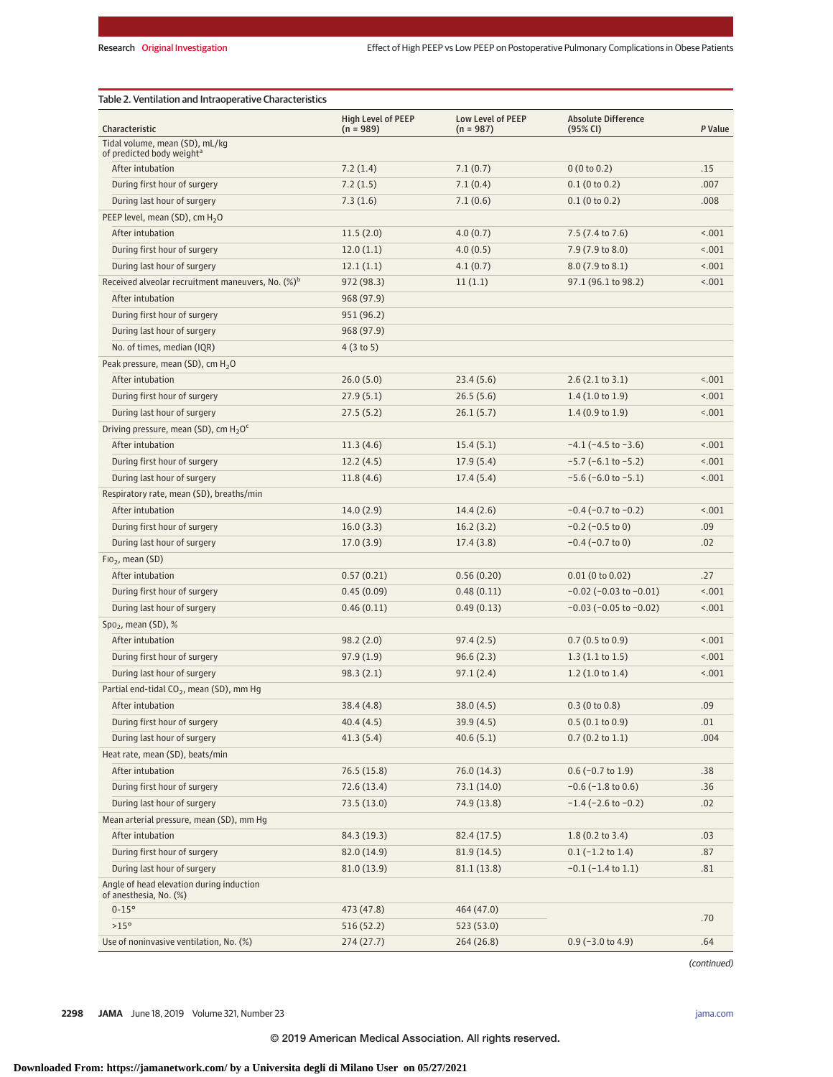| Table 2. Ventilation and Intraoperative Characteristics                 |                                          |                                  |                                        |         |  |  |  |
|-------------------------------------------------------------------------|------------------------------------------|----------------------------------|----------------------------------------|---------|--|--|--|
| Characteristic                                                          | <b>High Level of PEEP</b><br>$(n = 989)$ | Low Level of PEEP<br>$(n = 987)$ | <b>Absolute Difference</b><br>(95% CI) | P Value |  |  |  |
| Tidal volume, mean (SD), mL/kg<br>of predicted body weight <sup>a</sup> |                                          |                                  |                                        |         |  |  |  |
| After intubation                                                        | 7.2(1.4)                                 | 7.1(0.7)                         | 0(0 to 0.2)                            | .15     |  |  |  |
| During first hour of surgery                                            | 7.2(1.5)                                 | 7.1(0.4)                         | $0.1$ (0 to 0.2)                       | .007    |  |  |  |
| During last hour of surgery                                             | 7.3(1.6)                                 | 7.1(0.6)                         | $0.1$ (0 to 0.2)                       | .008    |  |  |  |
| PEEP level, mean (SD), cm $H_2O$                                        |                                          |                                  |                                        |         |  |  |  |
| After intubation                                                        | 11.5(2.0)                                | 4.0(0.7)                         | 7.5 (7.4 to 7.6)                       | < .001  |  |  |  |
| During first hour of surgery                                            | 12.0(1.1)                                | 4.0(0.5)                         | 7.9 (7.9 to 8.0)                       | < .001  |  |  |  |
| During last hour of surgery                                             | 12.1(1.1)                                | 4.1(0.7)                         | 8.0 (7.9 to 8.1)                       | < .001  |  |  |  |
| Received alveolar recruitment maneuvers, No. (%) <sup>b</sup>           | 972 (98.3)                               | 11(1.1)                          | 97.1 (96.1 to 98.2)                    | < .001  |  |  |  |
| After intubation                                                        | 968 (97.9)                               |                                  |                                        |         |  |  |  |
| During first hour of surgery                                            | 951 (96.2)                               |                                  |                                        |         |  |  |  |
| During last hour of surgery                                             | 968 (97.9)                               |                                  |                                        |         |  |  |  |
| No. of times, median (IQR)                                              | 4(3 to 5)                                |                                  |                                        |         |  |  |  |
| Peak pressure, mean (SD), cm $H_2O$                                     |                                          |                                  |                                        |         |  |  |  |
| After intubation                                                        | 26.0(5.0)                                | 23.4(5.6)                        | 2.6(2.1 to 3.1)                        | < .001  |  |  |  |
| During first hour of surgery                                            | 27.9(5.1)                                | 26.5(5.6)                        | 1.4(1.0 to 1.9)                        | < .001  |  |  |  |
| During last hour of surgery                                             | 27.5(5.2)                                | 26.1(5.7)                        | 1.4(0.9 to 1.9)                        | < .001  |  |  |  |
| Driving pressure, mean (SD), cm $H_2O^c$                                |                                          |                                  |                                        |         |  |  |  |
| After intubation                                                        | 11.3(4.6)                                | 15.4(5.1)                        | $-4.1$ ( $-4.5$ to $-3.6$ )            | < .001  |  |  |  |
| During first hour of surgery                                            | 12.2(4.5)                                | 17.9(5.4)                        | $-5.7$ ( $-6.1$ to $-5.2$ )            | < .001  |  |  |  |
| During last hour of surgery                                             | 11.8(4.6)                                | 17.4(5.4)                        | $-5.6$ ( $-6.0$ to $-5.1$ )            | < .001  |  |  |  |
| Respiratory rate, mean (SD), breaths/min                                |                                          |                                  |                                        |         |  |  |  |
| After intubation                                                        | 14.0(2.9)                                | 14.4(2.6)                        | $-0.4$ ( $-0.7$ to $-0.2$ )            | < .001  |  |  |  |
| During first hour of surgery                                            | 16.0(3.3)                                | 16.2(3.2)                        | $-0.2$ ( $-0.5$ to 0)                  | .09     |  |  |  |
| During last hour of surgery                                             | 17.0(3.9)                                | 17.4(3.8)                        | $-0.4$ ( $-0.7$ to 0)                  | .02     |  |  |  |
| $FIO2$ , mean (SD)                                                      |                                          |                                  |                                        |         |  |  |  |
| After intubation                                                        | 0.57(0.21)                               | 0.56(0.20)                       | $0.01$ (0 to 0.02)                     | .27     |  |  |  |
| During first hour of surgery                                            | 0.45(0.09)                               | 0.48(0.11)                       | $-0.02$ ( $-0.03$ to $-0.01$ )         | < .001  |  |  |  |
| During last hour of surgery                                             | 0.46(0.11)                               | 0.49(0.13)                       | $-0.03$ ( $-0.05$ to $-0.02$ )         | < .001  |  |  |  |
| Spo <sub>2</sub> , mean (SD), $%$                                       |                                          |                                  |                                        |         |  |  |  |
| After intubation                                                        | 98.2(2.0)                                | 97.4(2.5)                        | 0.7(0.5 to 0.9)                        | < .001  |  |  |  |
| During first hour of surgery                                            | 97.9(1.9)                                | 96.6(2.3)                        | 1.3(1.1 to 1.5)                        | < .001  |  |  |  |
| During last hour of surgery                                             | 98.3(2.1)                                | 97.1(2.4)                        | 1.2(1.0 to 1.4)                        | < .001  |  |  |  |
| Partial end-tidal $CO2$ , mean (SD), mm Hg                              |                                          |                                  |                                        |         |  |  |  |
| After intubation                                                        | 38.4(4.8)                                | 38.0(4.5)                        | 0.3(0 to 0.8)                          | .09     |  |  |  |
| During first hour of surgery                                            | 40.4(4.5)                                | 39.9(4.5)                        | 0.5(0.1 to 0.9)                        | .01     |  |  |  |
| During last hour of surgery                                             | 41.3(5.4)                                | 40.6(5.1)                        | $0.7$ (0.2 to 1.1)                     | .004    |  |  |  |
| Heat rate, mean (SD), beats/min                                         |                                          |                                  |                                        |         |  |  |  |
| After intubation                                                        | 76.5 (15.8)                              | 76.0 (14.3)                      | $0.6$ (-0.7 to 1.9)                    | .38     |  |  |  |
| During first hour of surgery                                            | 72.6(13.4)                               | 73.1 (14.0)                      | $-0.6$ ( $-1.8$ to $0.6$ )             | .36     |  |  |  |
| During last hour of surgery                                             | 73.5 (13.0)                              | 74.9 (13.8)                      | $-1.4$ ( $-2.6$ to $-0.2$ )            | .02     |  |  |  |
| Mean arterial pressure, mean (SD), mm Hg                                |                                          |                                  |                                        |         |  |  |  |
| After intubation                                                        | 84.3 (19.3)                              | 82.4 (17.5)                      | $1.8(0.2 \text{ to } 3.4)$             | .03     |  |  |  |
| During first hour of surgery                                            | 82.0 (14.9)                              | 81.9(14.5)                       | $0.1$ (-1.2 to 1.4)                    | .87     |  |  |  |
| During last hour of surgery                                             | 81.0(13.9)                               | 81.1(13.8)                       | $-0.1$ ( $-1.4$ to $1.1$ )             | .81     |  |  |  |
| Angle of head elevation during induction                                |                                          |                                  |                                        |         |  |  |  |
| of anesthesia, No. (%)                                                  |                                          |                                  |                                        |         |  |  |  |
| $0 - 15^{\circ}$                                                        | 473 (47.8)                               | 464 (47.0)                       |                                        | .70     |  |  |  |
| >15°                                                                    | 516 (52.2)                               | 523 (53.0)                       |                                        |         |  |  |  |
| Use of noninvasive ventilation, No. (%)                                 | 274(27.7)                                | 264 (26.8)                       | $0.9$ (-3.0 to 4.9)                    | .64     |  |  |  |

(continued)

**2298 JAMA** June 18, 2019 Volume 321, Number 23 **(Reprinted)** [jama.com](http://www.jama.com/?utm_campaign=articlePDF%26utm_medium=articlePDFlink%26utm_source=articlePDF%26utm_content=jama.2019.7505)

© 2019 American Medical Association. All rights reserved.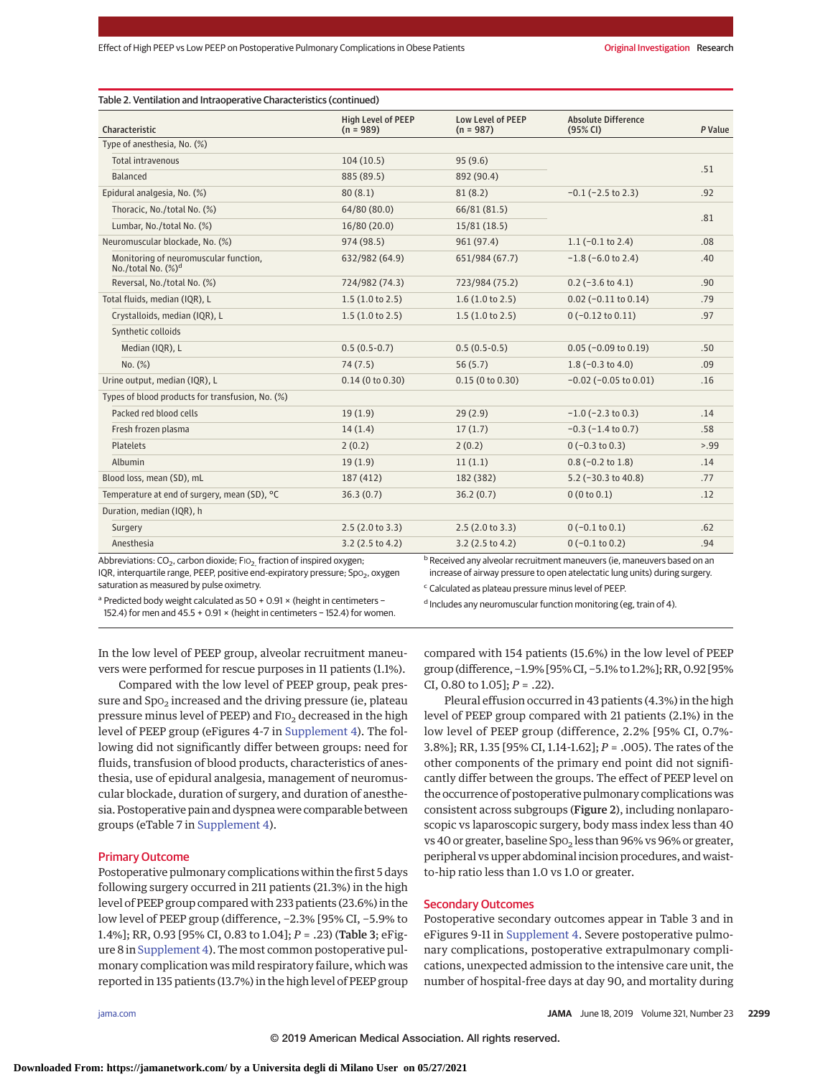| Characteristic                                                  | <b>High Level of PEEP</b><br>$(n = 989)$ | Low Level of PEEP<br>$(n = 987)$ | <b>Absolute Difference</b><br>(95% CI) | P Value |
|-----------------------------------------------------------------|------------------------------------------|----------------------------------|----------------------------------------|---------|
| Type of anesthesia, No. (%)                                     |                                          |                                  |                                        |         |
| Total intravenous                                               | 104(10.5)                                | 95(9.6)                          |                                        |         |
| Balanced                                                        | 885 (89.5)                               | 892 (90.4)                       |                                        | .51     |
| Epidural analgesia, No. (%)                                     | 80(8.1)                                  | 81(8.2)                          | $-0.1$ ( $-2.5$ to 2.3)                | .92     |
| Thoracic, No./total No. (%)                                     | 64/80 (80.0)                             | 66/81 (81.5)                     |                                        |         |
| Lumbar, No./total No. (%)                                       | 16/80 (20.0)                             | 15/81(18.5)                      |                                        | .81     |
| Neuromuscular blockade. No. (%)                                 | 974 (98.5)                               | 961 (97.4)                       | $1.1 (-0.1 to 2.4)$                    | .08     |
| Monitoring of neuromuscular function,<br>No./total No. $(\%)^d$ | 632/982 (64.9)                           | 651/984 (67.7)                   | $-1.8$ ( $-6.0$ to 2.4)                | .40     |
| Reversal, No./total No. (%)                                     | 724/982 (74.3)                           | 723/984 (75.2)                   | $0.2$ (-3.6 to 4.1)                    | .90     |
| Total fluids, median (IQR), L                                   | 1.5(1.0 to 2.5)                          | 1.6(1.0 to 2.5)                  | $0.02$ (-0.11 to 0.14)                 | .79     |
| Crystalloids, median (IQR), L                                   | 1.5(1.0 to 2.5)                          | 1.5(1.0 to 2.5)                  | $0(-0.12 \text{ to } 0.11)$            | .97     |
| Synthetic colloids                                              |                                          |                                  |                                        |         |
| Median (IQR), L                                                 | $0.5(0.5-0.7)$                           | $0.5(0.5-0.5)$                   | $0.05$ (-0.09 to 0.19)                 | .50     |
| No. (%)                                                         | 74(7.5)                                  | 56(5.7)                          | $1.8$ (-0.3 to 4.0)                    | .09     |
| Urine output, median (IQR), L                                   | $0.14$ (0 to 0.30)                       | 0.15(0 to 0.30)                  | $-0.02$ ( $-0.05$ to $0.01$ )          | .16     |
| Types of blood products for transfusion, No. (%)                |                                          |                                  |                                        |         |
| Packed red blood cells                                          | 19(1.9)                                  | 29(2.9)                          | $-1.0$ ( $-2.3$ to 0.3)                | .14     |
| Fresh frozen plasma                                             | 14(1.4)                                  | 17(1.7)                          | $-0.3$ ( $-1.4$ to 0.7)                | .58     |
| <b>Platelets</b>                                                | 2(0.2)                                   | 2(0.2)                           | $0(-0.3 \text{ to } 0.3)$              | > 0.99  |
| Albumin                                                         | 19(1.9)                                  | 11(1.1)                          | $0.8$ (-0.2 to 1.8)                    | .14     |
| Blood loss, mean (SD), mL                                       | 187 (412)                                | 182 (382)                        | $5.2$ (-30.3 to 40.8)                  | .77     |
| Temperature at end of surgery, mean (SD), °C                    | 36.3(0.7)                                | 36.2(0.7)                        | 0(0 to 0.1)                            | .12     |
| Duration, median (IQR), h                                       |                                          |                                  |                                        |         |
| Surgery                                                         | 2.5(2.0 to 3.3)                          | 2.5(2.0 to 3.3)                  | $0(-0.1 \text{ to } 0.1)$              | .62     |
| Anesthesia                                                      | $3.2$ (2.5 to 4.2)                       | $3.2$ (2.5 to 4.2)               | $0(-0.1 \text{ to } 0.2)$              | .94     |

IQR, interquartile range, PEEP, positive end-expiratory pressure; Spo<sub>2</sub>, oxygen saturation as measured by pulse oximetry.

increase of airway pressure to open atelectatic lung units) during surgery.

<sup>a</sup> Predicted body weight calculated as 50 + 0.91 × (height in centimeters −

<sup>c</sup> Calculated as plateau pressure minus level of PEEP.

152.4) for men and 45.5 + 0.91 × (height in centimeters − 152.4) for women.

d Includes any neuromuscular function monitoring (eg, train of 4).

In the low level of PEEP group, alveolar recruitment maneuvers were performed for rescue purposes in 11 patients (1.1%).

Compared with the low level of PEEP group, peak pressure and  $Spo<sub>2</sub>$  increased and the driving pressure (ie, plateau pressure minus level of PEEP) and  $F1O<sub>2</sub>$  decreased in the high level of PEEP group (eFigures 4-7 in [Supplement 4\)](https://jama.jamanetwork.com/article.aspx?doi=10.1001/jama.2019.7505&utm_campaign=articlePDF%26utm_medium=articlePDFlink%26utm_source=articlePDF%26utm_content=jama.2019.7505). The following did not significantly differ between groups: need for fluids, transfusion of blood products, characteristics of anesthesia, use of epidural analgesia, management of neuromuscular blockade, duration of surgery, and duration of anesthesia. Postoperative pain and dyspnea were comparable between groups (eTable 7 in [Supplement 4\)](https://jama.jamanetwork.com/article.aspx?doi=10.1001/jama.2019.7505&utm_campaign=articlePDF%26utm_medium=articlePDFlink%26utm_source=articlePDF%26utm_content=jama.2019.7505).

#### Primary Outcome

Postoperative pulmonary complications within the first 5 days following surgery occurred in 211 patients (21.3%) in the high level of PEEP group compared with 233 patients (23.6%) in the low level of PEEP group (difference, −2.3% [95% CI, −5.9% to 1.4%]; RR, 0.93 [95% CI, 0.83 to 1.04]; *P* = .23) (Table 3; eFigure 8 in [Supplement 4\)](https://jama.jamanetwork.com/article.aspx?doi=10.1001/jama.2019.7505&utm_campaign=articlePDF%26utm_medium=articlePDFlink%26utm_source=articlePDF%26utm_content=jama.2019.7505). The most common postoperative pulmonary complication was mild respiratory failure, which was reported in 135 patients (13.7%) in the high level of PEEP group

compared with 154 patients (15.6%) in the low level of PEEP group (difference, −1.9% [95% CI, −5.1% to 1.2%]; RR, 0.92 [95% CI, 0.80 to 1.05];  $P = .22$ ).

Pleural effusion occurred in 43 patients (4.3%) in the high level of PEEP group compared with 21 patients (2.1%) in the low level of PEEP group (difference, 2.2% [95% CI, 0.7%- 3.8%]; RR, 1.35 [95% CI, 1.14-1.62]; *P* = .005). The rates of the other components of the primary end point did not significantly differ between the groups. The effect of PEEP level on the occurrence of postoperative pulmonary complications was consistent across subgroups (Figure 2), including nonlaparoscopic vs laparoscopic surgery, body mass index less than 40 vs 40 or greater, baseline  $Spo<sub>2</sub>$  less than 96% vs 96% or greater, peripheral vs upper abdominal incision procedures, and waistto-hip ratio less than 1.0 vs 1.0 or greater.

# Secondary Outcomes

Postoperative secondary outcomes appear in Table 3 and in eFigures 9-11 in [Supplement 4.](https://jama.jamanetwork.com/article.aspx?doi=10.1001/jama.2019.7505&utm_campaign=articlePDF%26utm_medium=articlePDFlink%26utm_source=articlePDF%26utm_content=jama.2019.7505) Severe postoperative pulmonary complications, postoperative extrapulmonary complications, unexpected admission to the intensive care unit, the number of hospital-free days at day 90, and mortality during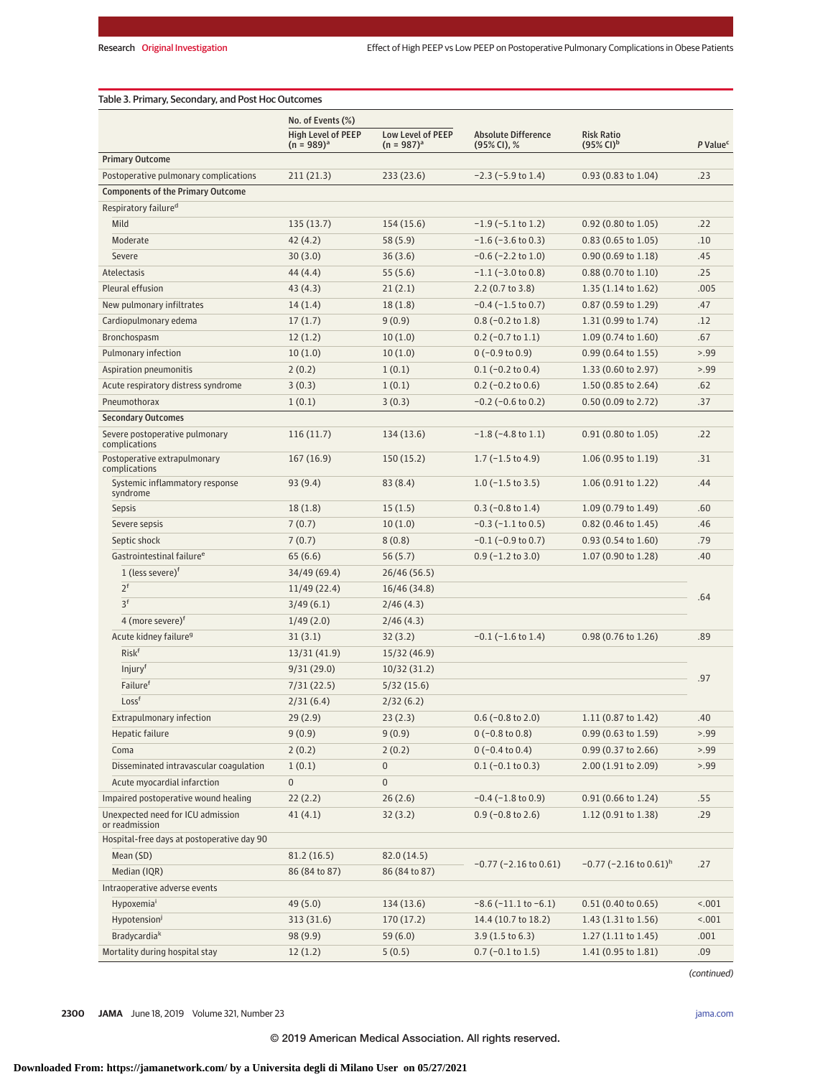|                                                     | No. of Events (%)                            |                                      |                                           |                                                       |                      |
|-----------------------------------------------------|----------------------------------------------|--------------------------------------|-------------------------------------------|-------------------------------------------------------|----------------------|
|                                                     | <b>High Level of PEEP</b><br>$(n = 989)^{a}$ | Low Level of PEEP<br>$(n = 987)^{a}$ | <b>Absolute Difference</b><br>(95% CI), % | <b>Risk Ratio</b><br>$(95\% \, \text{Cl})^{\text{b}}$ | P Value <sup>c</sup> |
| <b>Primary Outcome</b>                              |                                              |                                      |                                           |                                                       |                      |
| Postoperative pulmonary complications               | 211(21.3)                                    | 233(23.6)                            | $-2.3$ ( $-5.9$ to 1.4)                   | 0.93 (0.83 to 1.04)                                   | .23                  |
| <b>Components of the Primary Outcome</b>            |                                              |                                      |                                           |                                                       |                      |
| Respiratory failure <sup>d</sup>                    |                                              |                                      |                                           |                                                       |                      |
| Mild                                                | 135(13.7)                                    | 154(15.6)                            | $-1.9$ ( $-5.1$ to 1.2)                   | 0.92 (0.80 to 1.05)                                   | .22                  |
| Moderate                                            | 42(4.2)                                      | 58(5.9)                              | $-1.6$ ( $-3.6$ to 0.3)                   | $0.83$ (0.65 to 1.05)                                 | .10                  |
| Severe                                              | 30(3.0)                                      | 36(3.6)                              | $-0.6$ ( $-2.2$ to $1.0$ )                | $0.90(0.69 \text{ to } 1.18)$                         | .45                  |
| Atelectasis                                         | 44 (4.4)                                     | 55(5.6)                              | $-1.1$ ( $-3.0$ to 0.8)                   | 0.88 (0.70 to 1.10)                                   | .25                  |
| Pleural effusion                                    | 43(4.3)                                      | 21(2.1)                              | $2.2$ (0.7 to 3.8)                        | 1.35 (1.14 to 1.62)                                   | .005                 |
| New pulmonary infiltrates                           | 14(1.4)                                      | 18(1.8)                              | $-0.4$ ( $-1.5$ to 0.7)                   | 0.87 (0.59 to 1.29)                                   | .47                  |
| Cardiopulmonary edema                               | 17(1.7)                                      | 9(0.9)                               | $0.8$ (-0.2 to 1.8)                       | 1.31 (0.99 to 1.74)                                   | .12                  |
| Bronchospasm                                        | 12(1.2)                                      | 10(1.0)                              | $0.2$ (-0.7 to 1.1)                       | $1.09(0.74 \text{ to } 1.60)$                         | .67                  |
| Pulmonary infection                                 | 10(1.0)                                      | 10(1.0)                              | $0(-0.9 to 0.9)$                          | $0.99(0.64 \text{ to } 1.55)$                         | > 0.99               |
| Aspiration pneumonitis                              | 2(0.2)                                       | 1(0.1)                               | $0.1$ (-0.2 to 0.4)                       | 1.33 (0.60 to 2.97)                                   | > 0.99               |
| Acute respiratory distress syndrome                 | 3(0.3)                                       | 1(0.1)                               | $0.2$ (-0.2 to 0.6)                       | 1.50 (0.85 to 2.64)                                   | .62                  |
| Pneumothorax                                        | 1(0.1)                                       | 3(0.3)                               | $-0.2$ ( $-0.6$ to 0.2)                   | 0.50 (0.09 to 2.72)                                   | .37                  |
| <b>Secondary Outcomes</b>                           |                                              |                                      |                                           |                                                       |                      |
| Severe postoperative pulmonary<br>complications     | 116(11.7)                                    | 134(13.6)                            | $-1.8$ ( $-4.8$ to 1.1)                   | $0.91(0.80 \text{ to } 1.05)$                         | .22                  |
| Postoperative extrapulmonary<br>complications       | 167(16.9)                                    | 150(15.2)                            | $1.7$ (-1.5 to 4.9)                       | 1.06 (0.95 to 1.19)                                   | .31                  |
| Systemic inflammatory response<br>syndrome          | 93(9.4)                                      | 83 (8.4)                             | $1.0$ (-1.5 to 3.5)                       | 1.06 (0.91 to 1.22)                                   | .44                  |
| <b>Sepsis</b>                                       | 18(1.8)                                      | 15(1.5)                              | $0.3$ (-0.8 to 1.4)                       | 1.09 (0.79 to 1.49)                                   | .60                  |
| Severe sepsis                                       | 7(0.7)                                       | 10(1.0)                              | $-0.3$ ( $-1.1$ to 0.5)                   | $0.82$ (0.46 to 1.45)                                 | .46                  |
| Septic shock                                        | 7(0.7)                                       | 8(0.8)                               | $-0.1$ ( $-0.9$ to 0.7)                   | $0.93(0.54 \text{ to } 1.60)$                         | .79                  |
| Gastrointestinal failure <sup>e</sup>               | 65(6.6)                                      | 56(5.7)                              | $0.9$ (-1.2 to 3.0)                       | 1.07(0.90 to 1.28)                                    | .40                  |
| 1 (less severe) $f$                                 | 34/49 (69.4)                                 | 26/46 (56.5)                         |                                           |                                                       |                      |
| 2 <sup>f</sup>                                      | 11/49(22.4)                                  | 16/46 (34.8)                         |                                           |                                                       | .64                  |
| 3 <sup>f</sup>                                      | 3/49(6.1)                                    | 2/46(4.3)                            |                                           |                                                       |                      |
| 4 (more severe) <sup>f</sup>                        | 1/49(2.0)                                    | 2/46(4.3)                            |                                           |                                                       |                      |
| Acute kidney failure <sup>9</sup>                   | 31(3.1)                                      | 32(3.2)                              | $-0.1$ ( $-1.6$ to 1.4)                   | 0.98 (0.76 to 1.26)                                   | .89                  |
| Risk <sup>f</sup>                                   | 13/31 (41.9)                                 | 15/32 (46.9)                         |                                           |                                                       |                      |
| Injury <sup>f</sup>                                 | 9/31(29.0)                                   | 10/32 (31.2)                         |                                           |                                                       | .97                  |
| Failuref                                            | 7/31(22.5)                                   | 5/32(15.6)                           |                                           |                                                       |                      |
| Loss <sup>f</sup>                                   | 2/31(6.4)                                    | 2/32(6.2)                            |                                           |                                                       |                      |
| Extrapulmonary infection                            | 29(2.9)                                      | 23(2.3)                              | $0.6$ (-0.8 to 2.0)                       | 1.11 (0.87 to 1.42)                                   | .40                  |
| Hepatic failure                                     | 9(0.9)                                       | 9(0.9)                               | $0(-0.8 to 0.8)$                          | 0.99 (0.63 to 1.59)                                   | > 99                 |
| Coma                                                | 2(0.2)                                       | 2(0.2)                               | $0(-0.4 to 0.4)$                          | 0.99 (0.37 to 2.66)                                   | > 0.99               |
| Disseminated intravascular coagulation              | 1(0.1)                                       | 0                                    | $0.1$ (-0.1 to 0.3)                       | 2.00 (1.91 to 2.09)                                   | > 0.99               |
| Acute myocardial infarction                         | $\mathbf 0$                                  | 0                                    |                                           |                                                       |                      |
| Impaired postoperative wound healing                | 22(2.2)                                      | 26(2.6)                              | $-0.4$ ( $-1.8$ to 0.9)                   | 0.91 (0.66 to 1.24)                                   | .55                  |
| Unexpected need for ICU admission<br>or readmission | 41(4.1)                                      | 32(3.2)                              | $0.9$ (-0.8 to 2.6)                       | 1.12 (0.91 to 1.38)                                   | .29                  |
| Hospital-free days at postoperative day 90          |                                              |                                      |                                           |                                                       |                      |
| Mean (SD)                                           | 81.2 (16.5)                                  | 82.0 (14.5)                          | $-0.77$ ( $-2.16$ to $0.61$ )             | $-0.77$ (-2.16 to 0.61) <sup>h</sup>                  | .27                  |
| Median (IQR)                                        | 86 (84 to 87)                                | 86 (84 to 87)                        |                                           |                                                       |                      |
| Intraoperative adverse events                       |                                              |                                      |                                           |                                                       |                      |
| Hypoxemia <sup>i</sup>                              | 49 (5.0)                                     | 134 (13.6)                           | $-8.6$ ( $-11.1$ to $-6.1$ )              | 0.51(0.40 to 0.65)                                    | < .001               |
| Hypotension <sup>j</sup>                            | 313 (31.6)                                   | 170(17.2)                            | 14.4 (10.7 to 18.2)                       | 1.43(1.31 to 1.56)                                    | 1001                 |
| Bradycardia <sup>k</sup>                            | 98 (9.9)                                     | 59(6.0)                              | $3.9(1.5 \text{ to } 6.3)$                | $1.27(1.11 \text{ to } 1.45)$                         | .001                 |
| Mortality during hospital stay                      | 12(1.2)                                      | 5(0.5)                               | $0.7$ (-0.1 to 1.5)                       | 1.41 (0.95 to 1.81)                                   | .09                  |

(continued)

**2300 JAMA** June 18, 2019 Volume 321, Number 23 **(Reprinted)** is the property of the property of the printed of the property of the property of the printed of the property of the property of the property of the property of

© 2019 American Medical Association. All rights reserved.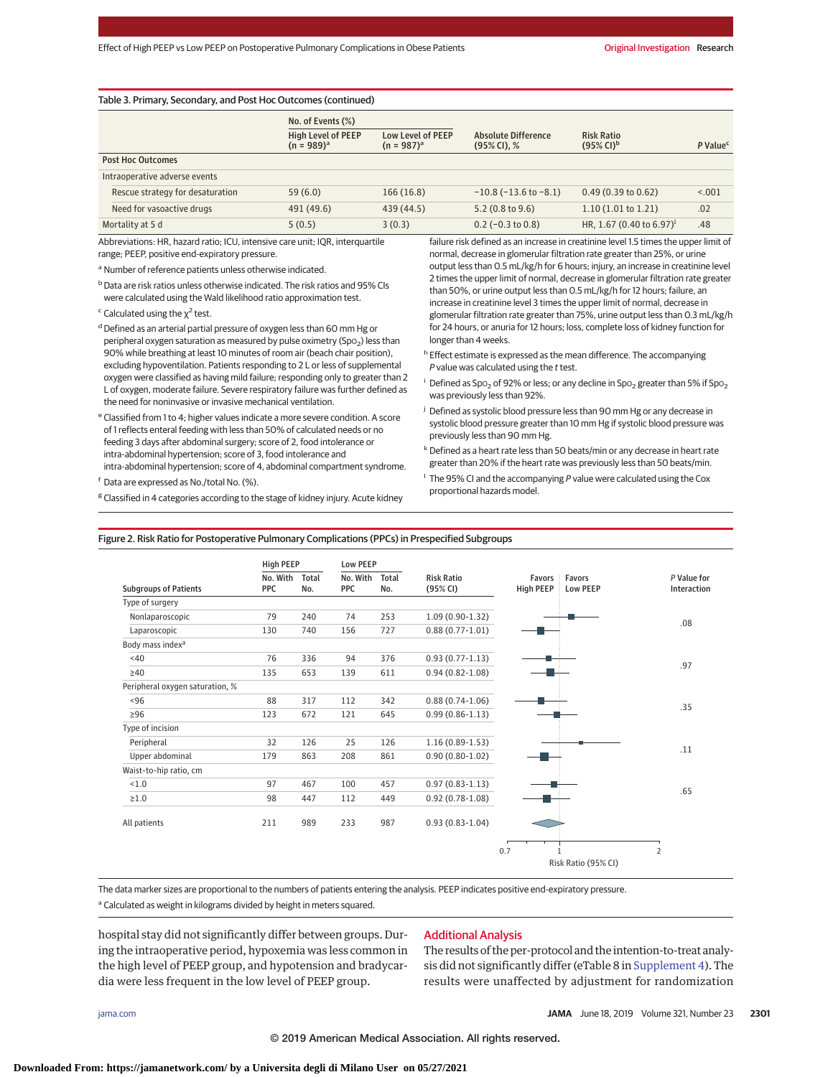| Table 3. Primary, Secondary, and Post Hoc Outcomes (continued) |                                              |                                      |                                                |                                                     |                      |  |  |  |
|----------------------------------------------------------------|----------------------------------------------|--------------------------------------|------------------------------------------------|-----------------------------------------------------|----------------------|--|--|--|
|                                                                | No. of Events (%)                            |                                      |                                                |                                                     |                      |  |  |  |
|                                                                | <b>High Level of PEEP</b><br>$(n = 989)^{a}$ | Low Level of PEEP<br>$(n = 987)^{a}$ | <b>Absolute Difference</b><br>$(95\%$ CI), $%$ | <b>Risk Ratio</b><br>$(95\% \text{ Cl})^{\text{b}}$ | P Value <sup>c</sup> |  |  |  |
| <b>Post Hoc Outcomes</b>                                       |                                              |                                      |                                                |                                                     |                      |  |  |  |
| Intraoperative adverse events                                  |                                              |                                      |                                                |                                                     |                      |  |  |  |
| Rescue strategy for desaturation                               | 59(6.0)                                      | 166(16.8)                            | $-10.8$ ( $-13.6$ to $-8.1$ )                  | $0.49(0.39)$ to $0.62$                              | < 0.001              |  |  |  |
| Need for vasoactive drugs                                      | 491 (49.6)                                   | 439 (44.5)                           | 5.2(0.8 to 9.6)                                | 1.10(1.01 to 1.21)                                  | .02                  |  |  |  |
| Mortality at 5 d                                               | 5(0.5)                                       | 3(0.3)                               | $0.2$ (-0.3 to 0.8)                            | HR, 1.67 (0.40 to 6.97) <sup>1</sup>                | .48                  |  |  |  |

Abbreviations: HR, hazard ratio; ICU, intensive care unit; IQR, interquartile range; PEEP, positive end-expiratory pressure.

<sup>a</sup> Number of reference patients unless otherwise indicated.

b Data are risk ratios unless otherwise indicated. The risk ratios and 95% CIs were calculated using the Wald likelihood ratio approximation test.

 $\epsilon$  Calculated using the  $\chi^2$  test.

<sup>d</sup> Defined as an arterial partial pressure of oxygen less than 60 mm Hg or peripheral oxygen saturation as measured by pulse oximetry (Spo<sub>2</sub>) less than 90% while breathing at least 10 minutes of room air (beach chair position), excluding hypoventilation. Patients responding to 2 L or less of supplemental oxygen were classified as having mild failure; responding only to greater than 2 L of oxygen, moderate failure. Severe respiratory failure was further defined as the need for noninvasive or invasive mechanical ventilation.

<sup>e</sup> Classified from 1 to 4; higher values indicate a more severe condition. A score of 1 reflects enteral feeding with less than 50% of calculated needs or no feeding 3 days after abdominal surgery; score of 2, food intolerance or intra-abdominal hypertension; score of 3, food intolerance and intra-abdominal hypertension; score of 4, abdominal compartment syndrome.

<sup>f</sup> Data are expressed as No./total No. (%).

<sup>g</sup> Classified in 4 categories according to the stage of kidney injury. Acute kidney

failure risk defined as an increase in creatinine level 1.5 times the upper limit of normal, decrease in glomerular filtration rate greater than 25%, or urine output less than 0.5 mL/kg/h for 6 hours; injury, an increase in creatinine level 2 times the upper limit of normal, decrease in glomerular filtration rate greater than 50%, or urine output less than 0.5 mL/kg/h for 12 hours; failure, an increase in creatinine level 3 times the upper limit of normal, decrease in glomerular filtration rate greater than 75%, urine output less than 0.3 mL/kg/h for 24 hours, or anuria for 12 hours; loss, complete loss of kidney function for longer than 4 weeks.

- h Effect estimate is expressed as the mean difference. The accompanying P value was calculated using the t test.
- <sup>i</sup> Defined as Spo<sub>2</sub> of 92% or less; or any decline in Spo<sub>2</sub> greater than 5% if Spo<sub>2</sub> was previously less than 92%.
- <sup>j</sup> Defined as systolic blood pressure less than 90 mm Hg or any decrease in systolic blood pressure greater than 10 mm Hg if systolic blood pressure was previously less than 90 mm Hg.
- k Defined as a heart rate less than 50 beats/min or any decrease in heart rate greater than 20% if the heart rate was previously less than 50 beats/min.
- $\frac{1}{1}$  The 95% CI and the accompanying P value were calculated using the Cox proportional hazards model.

#### Figure 2. Risk Ratio for Postoperative Pulmonary Complications (PPCs) in Prespecified Subgroups

|                                 | <b>High PEEP</b> |              | <b>Low PEEP</b> |              |                               |                  |                                    |                            |
|---------------------------------|------------------|--------------|-----------------|--------------|-------------------------------|------------------|------------------------------------|----------------------------|
| <b>Subgroups of Patients</b>    | No. With<br>PPC  | Total<br>No. | No. With<br>PPC | Total<br>No. | <b>Risk Ratio</b><br>(95% CI) | <b>High PEEP</b> | Favors : Favors<br><b>Low PEEP</b> | P Value for<br>Interaction |
| Type of surgery                 |                  |              |                 |              |                               |                  |                                    |                            |
| Nonlaparoscopic                 | 79               | 240          | 74              | 253          | $1.09(0.90-1.32)$             |                  |                                    |                            |
| Laparoscopic                    | 130              | 740          | 156             | 727          | $0.88(0.77-1.01)$             |                  |                                    | .08                        |
| Body mass index <sup>a</sup>    |                  |              |                 |              |                               |                  |                                    |                            |
| <40                             | 76               | 336          | 94              | 376          | $0.93(0.77 - 1.13)$           |                  |                                    |                            |
| $\geq 40$                       | 135              | 653          | 139             | 611          | $0.94(0.82 - 1.08)$           |                  |                                    | .97                        |
| Peripheral oxygen saturation, % |                  |              |                 |              |                               |                  |                                    |                            |
| ~506                            | 88               | 317          | 112             | 342          | $0.88(0.74-1.06)$             |                  |                                    |                            |
| $\geq 96$                       | 123              | 672          | 121             | 645          | $0.99(0.86 - 1.13)$           |                  |                                    | .35                        |
| Type of incision                |                  |              |                 |              |                               |                  |                                    |                            |
| Peripheral                      | 32               | 126          | 25              | 126          | $1.16(0.89-1.53)$             |                  |                                    | .11                        |
| Upper abdominal                 | 179              | 863          | 208             | 861          | $0.90(0.80-1.02)$             |                  |                                    |                            |
| Waist-to-hip ratio, cm          |                  |              |                 |              |                               |                  |                                    |                            |
| 1.0                             | 97               | 467          | 100             | 457          | $0.97(0.83 - 1.13)$           |                  |                                    | .65                        |
| $\geq 1.0$                      | 98               | 447          | 112             | 449          | $0.92(0.78-1.08)$             |                  |                                    |                            |
| All patients                    | 211              | 989          | 233             | 987          | $0.93(0.83 - 1.04)$           |                  |                                    |                            |
|                                 |                  |              |                 |              |                               | 0.7              |                                    | $\overline{2}$             |
|                                 |                  |              |                 |              |                               |                  | Risk Ratio (95% CI)                |                            |

The data marker sizes are proportional to the numbers of patients entering the analysis. PEEP indicates positive end-expiratory pressure. <sup>a</sup> Calculated as weight in kilograms divided by height in meters squared.

hospital stay did not significantly differ between groups. During the intraoperative period, hypoxemia was less common in the high level of PEEP group, and hypotension and bradycardia were less frequent in the low level of PEEP group.

## Additional Analysis

The results of the per-protocol and the intention-to-treat analysis did not significantly differ (eTable 8 in [Supplement 4\)](https://jama.jamanetwork.com/article.aspx?doi=10.1001/jama.2019.7505&utm_campaign=articlePDF%26utm_medium=articlePDFlink%26utm_source=articlePDF%26utm_content=jama.2019.7505). The results were unaffected by adjustment for randomization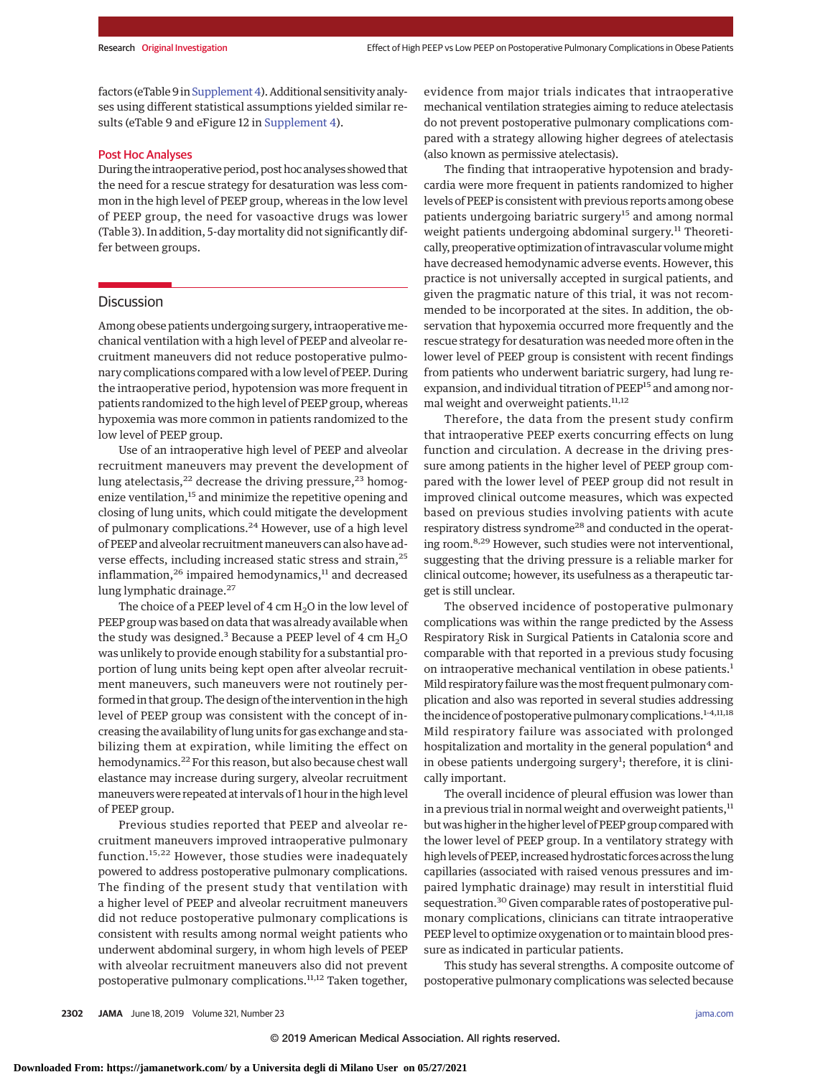factors (eTable 9 in Supplement 4). Additional sensitivity analyses using different statistical assumptions yielded similar results (eTable 9 and eFigure 12 in [Supplement 4\)](https://jama.jamanetwork.com/article.aspx?doi=10.1001/jama.2019.7505&utm_campaign=articlePDF%26utm_medium=articlePDFlink%26utm_source=articlePDF%26utm_content=jama.2019.7505).

# Post Hoc Analyses

During the intraoperative period, post hoc analyses showed that the need for a rescue strategy for desaturation was less common in the high level of PEEP group, whereas in the low level of PEEP group, the need for vasoactive drugs was lower (Table 3). In addition, 5-day mortality did not significantly differ between groups.

# **Discussion**

Among obese patients undergoing surgery, intraoperative mechanical ventilation with a high level of PEEP and alveolar recruitment maneuvers did not reduce postoperative pulmonary complications compared with a low level of PEEP. During the intraoperative period, hypotension was more frequent in patients randomized to the high level of PEEP group, whereas hypoxemia was more common in patients randomized to the low level of PEEP group.

Use of an intraoperative high level of PEEP and alveolar recruitment maneuvers may prevent the development of lung atelectasis,<sup>22</sup> decrease the driving pressure,<sup>23</sup> homogenize ventilation,<sup>15</sup> and minimize the repetitive opening and closing of lung units, which could mitigate the development of pulmonary complications.<sup>24</sup> However, use of a high level of PEEP and alveolar recruitment maneuvers can also have adverse effects, including increased static stress and strain,<sup>25</sup> inflammation,<sup>26</sup> impaired hemodynamics,<sup>11</sup> and decreased lung lymphatic drainage.<sup>27</sup>

The choice of a PEEP level of  $4 \text{ cm H}_2\text{O}$  in the low level of PEEP group was based on data that was already available when the study was designed.<sup>3</sup> Because a PEEP level of 4 cm  $H_2O$ was unlikely to provide enough stability for a substantial proportion of lung units being kept open after alveolar recruitment maneuvers, such maneuvers were not routinely performed in that group. The design of the intervention in the high level of PEEP group was consistent with the concept of increasing the availability of lung units for gas exchange and stabilizing them at expiration, while limiting the effect on hemodynamics.<sup>22</sup> For this reason, but also because chest wall elastance may increase during surgery, alveolar recruitment maneuvers were repeated at intervals of 1 hour in the high level of PEEP group.

Previous studies reported that PEEP and alveolar recruitment maneuvers improved intraoperative pulmonary function.15,22 However, those studies were inadequately powered to address postoperative pulmonary complications. The finding of the present study that ventilation with a higher level of PEEP and alveolar recruitment maneuvers did not reduce postoperative pulmonary complications is consistent with results among normal weight patients who underwent abdominal surgery, in whom high levels of PEEP with alveolar recruitment maneuvers also did not prevent postoperative pulmonary complications.<sup>11,12</sup> Taken together,

evidence from major trials indicates that intraoperative mechanical ventilation strategies aiming to reduce atelectasis do not prevent postoperative pulmonary complications compared with a strategy allowing higher degrees of atelectasis (also known as permissive atelectasis).

The finding that intraoperative hypotension and bradycardia were more frequent in patients randomized to higher levels of PEEP is consistent with previous reports among obese patients undergoing bariatric surgery<sup>15</sup> and among normal weight patients undergoing abdominal surgery.<sup>11</sup> Theoretically, preoperative optimization of intravascular volume might have decreased hemodynamic adverse events. However, this practice is not universally accepted in surgical patients, and given the pragmatic nature of this trial, it was not recommended to be incorporated at the sites. In addition, the observation that hypoxemia occurred more frequently and the rescue strategy for desaturation was needed more often in the lower level of PEEP group is consistent with recent findings from patients who underwent bariatric surgery, had lung reexpansion, and individual titration of PEEP<sup>15</sup> and among normal weight and overweight patients.<sup>11,12</sup>

Therefore, the data from the present study confirm that intraoperative PEEP exerts concurring effects on lung function and circulation. A decrease in the driving pressure among patients in the higher level of PEEP group compared with the lower level of PEEP group did not result in improved clinical outcome measures, which was expected based on previous studies involving patients with acute respiratory distress syndrome<sup>28</sup> and conducted in the operating room.8,29 However, such studies were not interventional, suggesting that the driving pressure is a reliable marker for clinical outcome; however, its usefulness as a therapeutic target is still unclear.

The observed incidence of postoperative pulmonary complications was within the range predicted by the Assess Respiratory Risk in Surgical Patients in Catalonia score and comparable with that reported in a previous study focusing on intraoperative mechanical ventilation in obese patients.<sup>1</sup> Mild respiratory failure was themost frequent pulmonary complication and also was reported in several studies addressing the incidence of postoperative pulmonary complications.<sup>1-4,11,18</sup> Mild respiratory failure was associated with prolonged hospitalization and mortality in the general population<sup>4</sup> and in obese patients undergoing surgery<sup>1</sup>; therefore, it is clinically important.

The overall incidence of pleural effusion was lower than in a previous trial in normal weight and overweight patients, $11$ but was higher in the higher level of PEEP group compared with the lower level of PEEP group. In a ventilatory strategy with high levels of PEEP, increased hydrostatic forces across the lung capillaries (associated with raised venous pressures and impaired lymphatic drainage) may result in interstitial fluid sequestration.<sup>30</sup> Given comparable rates of postoperative pulmonary complications, clinicians can titrate intraoperative PEEP level to optimize oxygenation or to maintain blood pressure as indicated in particular patients.

This study has several strengths. A composite outcome of postoperative pulmonary complications was selected because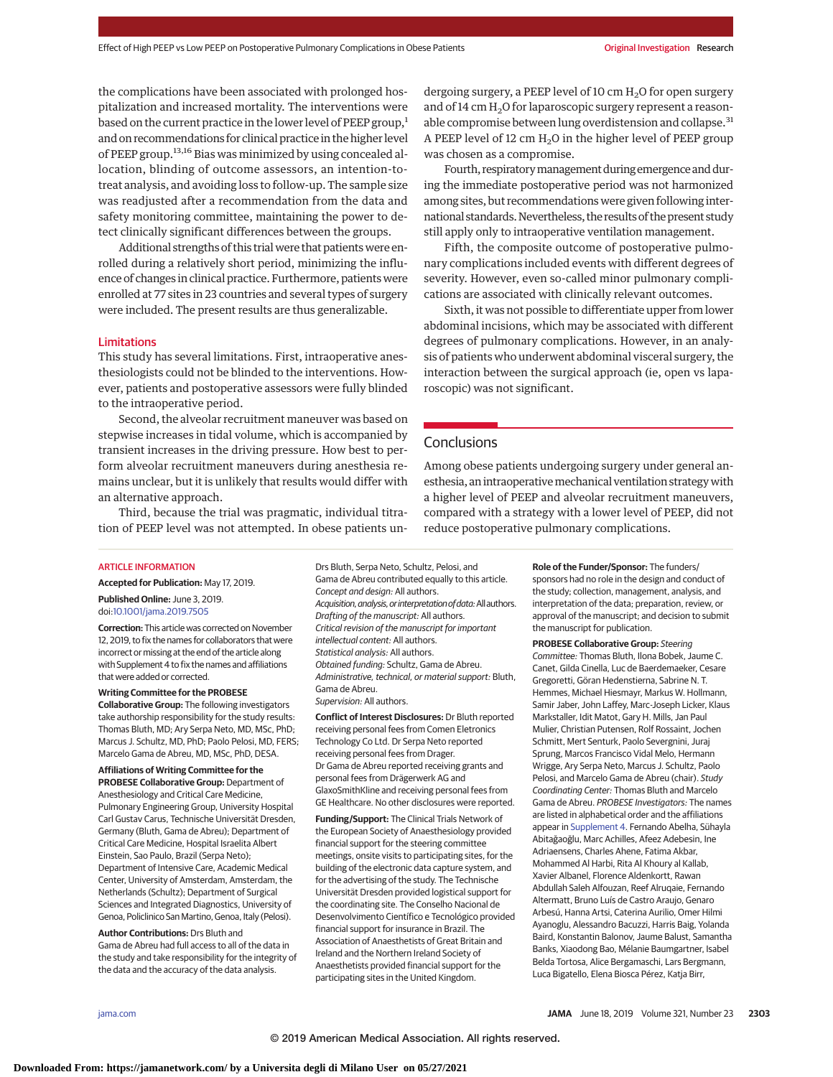the complications have been associated with prolonged hospitalization and increased mortality. The interventions were based on the current practice in the lower level of PEEP group, $<sup>1</sup>$ </sup> and on recommendations for clinical practice in the higher level of PEEP group.<sup>13,16</sup> Bias was minimized by using concealed allocation, blinding of outcome assessors, an intention-totreat analysis, and avoiding loss to follow-up. The sample size was readjusted after a recommendation from the data and safety monitoring committee, maintaining the power to detect clinically significant differences between the groups.

Additional strengths of this trial were that patients were enrolled during a relatively short period, minimizing the influence of changes in clinical practice. Furthermore, patients were enrolled at 77 sites in 23 countries and several types of surgery were included. The present results are thus generalizable.

#### Limitations

This study has several limitations. First, intraoperative anesthesiologists could not be blinded to the interventions. However, patients and postoperative assessors were fully blinded to the intraoperative period.

Second, the alveolar recruitment maneuver was based on stepwise increases in tidal volume, which is accompanied by transient increases in the driving pressure. How best to perform alveolar recruitment maneuvers during anesthesia remains unclear, but it is unlikely that results would differ with an alternative approach.

Third, because the trial was pragmatic, individual titration of PEEP level was not attempted. In obese patients undergoing surgery, a PEEP level of 10 cm  $H<sub>2</sub>O$  for open surgery and of 14 cm  $H<sub>2</sub>O$  for laparoscopic surgery represent a reasonable compromise between lung overdistension and collapse.<sup>31</sup> A PEEP level of 12 cm  $H_2O$  in the higher level of PEEP group was chosen as a compromise.

Fourth, respiratory management during emergence and during the immediate postoperative period was not harmonized among sites, but recommendations were given following international standards. Nevertheless, the results of the present study still apply only to intraoperative ventilation management.

Fifth, the composite outcome of postoperative pulmonary complications included events with different degrees of severity. However, even so-called minor pulmonary complications are associated with clinically relevant outcomes.

Sixth, it was not possible to differentiate upper from lower abdominal incisions, which may be associated with different degrees of pulmonary complications. However, in an analysis of patients who underwent abdominal visceral surgery, the interaction between the surgical approach (ie, open vs laparoscopic) was not significant.

## **Conclusions**

Among obese patients undergoing surgery under general anesthesia, an intraoperative mechanical ventilation strategy with a higher level of PEEP and alveolar recruitment maneuvers, compared with a strategy with a lower level of PEEP, did not reduce postoperative pulmonary complications.

#### ARTICLE INFORMATION

**Accepted for Publication:** May 17, 2019.

**Published Online:** June 3, 2019. doi[:10.1001/jama.2019.7505](https://jamanetwork.com/journals/jama/fullarticle/10.1001/jama.2019.7505?utm_campaign=articlePDF%26utm_medium=articlePDFlink%26utm_source=articlePDF%26utm_content=jama.2019.7505)

**Correction:** This article was corrected on November 12, 2019, to fix the names for collaborators that were incorrect or missing at the end of the article along with Supplement 4 to fix the names and affiliations that were added or corrected.

**Writing Committee for the PROBESE Collaborative Group:** The following investigators take authorship responsibility for the study results: Thomas Bluth, MD; Ary Serpa Neto, MD, MSc, PhD; Marcus J. Schultz, MD, PhD; Paolo Pelosi, MD, FERS; Marcelo Gama de Abreu, MD, MSc, PhD, DESA.

**Affiliations of Writing Committee for the PROBESE Collaborative Group:** Department of Anesthesiology and Critical Care Medicine, Pulmonary Engineering Group, University Hospital Carl Gustav Carus, Technische Universität Dresden, Germany (Bluth, Gama de Abreu); Department of Critical Care Medicine, Hospital Israelita Albert Einstein, Sao Paulo, Brazil (Serpa Neto); Department of Intensive Care, Academic Medical Center, University of Amsterdam, Amsterdam, the Netherlands (Schultz); Department of Surgical Sciences and Integrated Diagnostics, University of Genoa, Policlinico San Martino, Genoa, Italy (Pelosi).

**Author Contributions:** Drs Bluth and Gama de Abreu had full access to all of the data in the study and take responsibility for the integrity of the data and the accuracy of the data analysis.

Drs Bluth, Serpa Neto, Schultz, Pelosi, and Gama de Abreu contributed equally to this article. Concept and design: All authors. Acquisition, analysis, or interpretation of data: All authors. Drafting of the manuscript: All authors. Critical revision of the manuscript for important intellectual content: All authors. Statistical analysis: All authors. Obtained funding: Schultz, Gama de Abreu. Administrative, technical, or material support: Bluth, Gama de Abreu. Supervision: All authors.

**Conflict of Interest Disclosures:** Dr Bluth reported receiving personal fees from Comen Eletronics Technology Co Ltd. Dr Serpa Neto reported receiving personal fees from Drager. Dr Gama de Abreu reported receiving grants and personal fees from Drägerwerk AG and GlaxoSmithKline and receiving personal fees from GE Healthcare. No other disclosures were reported.

**Funding/Support:** The Clinical Trials Network of the European Society of Anaesthesiology provided financial support for the steering committee meetings, onsite visits to participating sites, for the building of the electronic data capture system, and for the advertising of the study. The Technische Universität Dresden provided logistical support for the coordinating site. The Conselho Nacional de Desenvolvimento Científico e Tecnológico provided financial support for insurance in Brazil. The Association of Anaesthetists of Great Britain and Ireland and the Northern Ireland Society of Anaesthetists provided financial support for the participating sites in the United Kingdom.

**Role of the Funder/Sponsor:** The funders/ sponsors had no role in the design and conduct of the study; collection, management, analysis, and interpretation of the data; preparation, review, or approval of the manuscript; and decision to submit the manuscript for publication.

**PROBESE Collaborative Group:** Steering Committee: Thomas Bluth, Ilona Bobek, Jaume C. Canet, Gilda Cinella, Luc de Baerdemaeker, Cesare Gregoretti, Göran Hedenstierna, Sabrine N. T. Hemmes, Michael Hiesmayr, Markus W. Hollmann, Samir Jaber, John Laffey, Marc-Joseph Licker, Klaus Markstaller, Idit Matot, Gary H. Mills, Jan Paul Mulier, Christian Putensen, Rolf Rossaint, Jochen Schmitt, Mert Senturk, Paolo Severgnini, Juraj Sprung, Marcos Francisco Vidal Melo, Hermann Wrigge, Ary Serpa Neto, Marcus J. Schultz, Paolo Pelosi, and Marcelo Gama de Abreu (chair). Study Coordinating Center: Thomas Bluth and Marcelo Gama de Abreu. PROBESE Investigators: The names are listed in alphabetical order and the affiliations appear in [Supplement 4.](https://jamanetwork.com/journals/jama/fullarticle/10.1001/jama.2019.7505?utm_campaign=articlePDF%26utm_medium=articlePDFlink%26utm_source=articlePDF%26utm_content=jama.2019.7505) Fernando Abelha, Sühayla Abitağaoğlu, Marc Achilles, Afeez Adebesin, Ine Adriaensens, Charles Ahene, Fatima Akbar, Mohammed Al Harbi, Rita Al Khoury al Kallab, Xavier Albanel, Florence Aldenkortt, Rawan Abdullah Saleh Alfouzan, Reef Alruqaie, Fernando Altermatt, Bruno Luís de Castro Araujo, Genaro Arbesú, Hanna Artsi, Caterina Aurilio, Omer Hilmi Ayanoglu, Alessandro Bacuzzi, Harris Baig, Yolanda Baird, Konstantin Balonov, Jaume Balust, Samantha Banks, Xiaodong Bao, Mélanie Baumgartner, Isabel Belda Tortosa, Alice Bergamaschi, Lars Bergmann, Luca Bigatello, Elena Biosca Pérez, Katja Birr,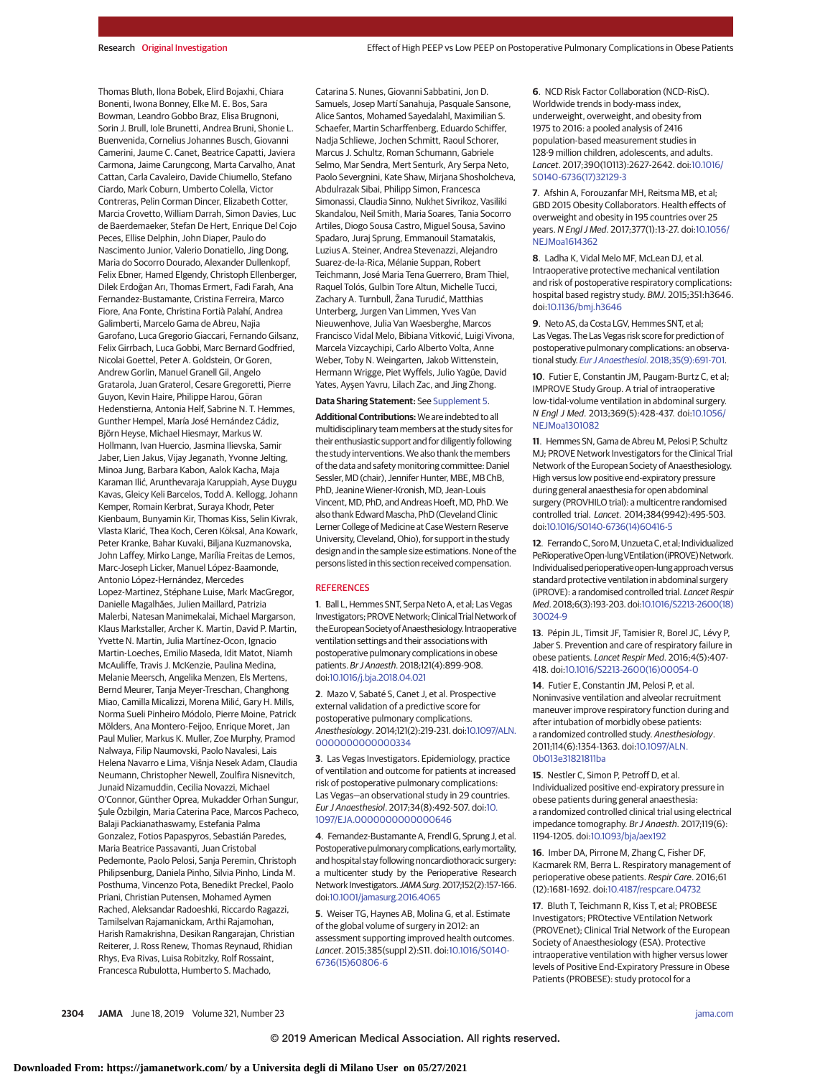Thomas Bluth, Ilona Bobek, Elird Bojaxhi, Chiara Bonenti, Iwona Bonney, Elke M. E. Bos, Sara Bowman, Leandro Gobbo Braz, Elisa Brugnoni, Sorin J. Brull, Iole Brunetti, Andrea Bruni, Shonie L. Buenvenida, Cornelius Johannes Busch, Giovanni Camerini, Jaume C. Canet, Beatrice Capatti, Javiera Carmona, Jaime Carungcong, Marta Carvalho, Anat Cattan, Carla Cavaleiro, Davide Chiumello, Stefano Ciardo, Mark Coburn, Umberto Colella, Victor Contreras, Pelin Corman Dincer, Elizabeth Cotter, Marcia Crovetto, William Darrah, Simon Davies, Luc de Baerdemaeker, Stefan De Hert, Enrique Del Cojo Peces, Ellise Delphin, John Diaper, Paulo do Nascimento Junior, Valerio Donatiello, Jing Dong, Maria do Socorro Dourado, Alexander Dullenkopf, Felix Ebner, Hamed Elgendy, Christoph Ellenberger, Dilek Erdoğan Arı, Thomas Ermert, Fadi Farah, Ana Fernandez-Bustamante, Cristina Ferreira, Marco Fiore, Ana Fonte, Christina Fortià Palahí, Andrea Galimberti, Marcelo Gama de Abreu, Najia Garofano, Luca Gregorio Giaccari, Fernando Gilsanz, Felix Girrbach, Luca Gobbi, Marc Bernard Godfried, Nicolai Goettel, Peter A. Goldstein, Or Goren, Andrew Gorlin, Manuel Granell Gil, Angelo Gratarola, Juan Graterol, Cesare Gregoretti, Pierre Guyon, Kevin Haire, Philippe Harou, Göran Hedenstierna, Antonia Helf, Sabrine N. T. Hemmes, Gunther Hempel, María José Hernández Cádiz, Björn Heyse, Michael Hiesmayr, Markus W. Hollmann, Ivan Huercio, Jasmina Ilievska, Samir Jaber, Lien Jakus, Vijay Jeganath, Yvonne Jelting, Minoa Jung, Barbara Kabon, Aalok Kacha, Maja Karaman Ilić, Arunthevaraja Karuppiah, Ayse Duygu Kavas, Gleicy Keli Barcelos, Todd A. Kellogg, Johann Kemper, Romain Kerbrat, Suraya Khodr, Peter Kienbaum, Bunyamin Kir, Thomas Kiss, Selin Kivrak, Vlasta Klarić, Thea Koch, Ceren Köksal, Ana Kowark, Peter Kranke, Bahar Kuvaki, Biljana Kuzmanovska, John Laffey, Mirko Lange, Marília Freitas de Lemos, Marc-Joseph Licker, Manuel López-Baamonde, Antonio López-Hernández, Mercedes Lopez-Martinez, Stéphane Luise, Mark MacGregor, Danielle Magalhães, Julien Maillard, Patrizia Malerbi, Natesan Manimekalai, Michael Margarson, Klaus Markstaller, Archer K. Martin, David P. Martin, Yvette N. Martin, Julia Martínez-Ocon, Ignacio Martin-Loeches, Emilio Maseda, Idit Matot, Niamh McAuliffe, Travis J. McKenzie, Paulina Medina, Melanie Meersch, Angelika Menzen, Els Mertens, Bernd Meurer, Tanja Meyer-Treschan, Changhong Miao, Camilla Micalizzi, Morena Milić, Gary H. Mills, Norma Sueli Pinheiro Módolo, Pierre Moine, Patrick Mölders, Ana Montero-Feijoo, Enrique Moret, Jan Paul Mulier, Markus K. Muller, Zoe Murphy, Pramod Nalwaya, Filip Naumovski, Paolo Navalesi, Lais Helena Navarro e Lima, Višnja Nesek Adam, Claudia Neumann, Christopher Newell, Zoulfira Nisnevitch, Junaid Nizamuddin, Cecilia Novazzi, Michael O'Connor, Günther Oprea, Mukadder Orhan Sungur, Sule Özbilgin, Maria Caterina Pace, Marcos Pacheco, Balaji Packianathaswamy, Estefania Palma Gonzalez, Fotios Papaspyros, Sebastián Paredes, Maria Beatrice Passavanti, Juan Cristobal Pedemonte, Paolo Pelosi, Sanja Peremin, Christoph Philipsenburg, Daniela Pinho, Silvia Pinho, Linda M. Posthuma, Vincenzo Pota, Benedikt Preckel, Paolo Priani, Christian Putensen, Mohamed Aymen Rached, Aleksandar Radoeshki, Riccardo Ragazzi, Tamilselvan Rajamanickam, Arthi Rajamohan, Harish Ramakrishna, Desikan Rangarajan, Christian Reiterer, J. Ross Renew, Thomas Reynaud, Rhidian Rhys, Eva Rivas, Luisa Robitzky, Rolf Rossaint,

Catarina S. Nunes, Giovanni Sabbatini, Jon D. Samuels, Josep Martí Sanahuja, Pasquale Sansone, Alice Santos, Mohamed Sayedalahl, Maximilian S. Schaefer, Martin Scharffenberg, Eduardo Schiffer, Nadja Schliewe, Jochen Schmitt, Raoul Schorer, Marcus J. Schultz, Roman Schumann, Gabriele Selmo, Mar Sendra, Mert Senturk, Ary Serpa Neto, Paolo Severgnini, Kate Shaw, Mirjana Shosholcheva, Abdulrazak Sibai, Philipp Simon, Francesca Simonassi, Claudia Sinno, Nukhet Sivrikoz, Vasiliki Skandalou, Neil Smith, Maria Soares, Tania Socorro Artiles, Diogo Sousa Castro, Miguel Sousa, Savino Spadaro, Juraj Sprung, Emmanouil Stamatakis, Luzius A. Steiner, Andrea Stevenazzi, Alejandro Suarez-de-la-Rica, Mélanie Suppan, Robert Teichmann, José Maria Tena Guerrero, Bram Thiel, Raquel Tolós, Gulbin Tore Altun, Michelle Tucci, Zachary A. Turnbull, Žana Turudić, Matthias Unterberg, Jurgen Van Limmen, Yves Van Nieuwenhove, Julia Van Waesberghe, Marcos Francisco Vidal Melo, Bibiana Vitković, Luigi Vivona, Marcela Vizcaychipi, Carlo Alberto Volta, Anne Weber, Toby N. Weingarten, Jakob Wittenstein, Hermann Wrigge, Piet Wyffels, Julio Yagüe, David Yates, Ayşen Yavru, Lilach Zac, and Jing Zhong.

#### **Data Sharing Statement:** See [Supplement 5.](https://jamanetwork.com/journals/jama/fullarticle/10.1001/jama.2019.7505?utm_campaign=articlePDF%26utm_medium=articlePDFlink%26utm_source=articlePDF%26utm_content=jama.2019.7505)

**Additional Contributions:**We are indebted to all multidisciplinary team members at the study sites for their enthusiastic support and for diligently following the study interventions. We also thank the members of the data and safety monitoring committee: Daniel Sessler, MD (chair), Jennifer Hunter, MBE, MB ChB, PhD, Jeanine Wiener-Kronish, MD, Jean-Louis Vincent, MD, PhD, and Andreas Hoeft, MD, PhD. We also thank Edward Mascha, PhD (Cleveland Clinic Lerner College of Medicine at Case Western Reserve University, Cleveland, Ohio), for support in the study design and in the sample size estimations. None of the persons listed in this section received compensation.

#### **REFERENCES**

**1**. Ball L, Hemmes SNT, Serpa Neto A, et al; Las Vegas Investigators; PROVE Network; Clinical Trial Network of theEuropeanSocietyofAnaesthesiology.Intraoperative ventilation settings and their associations with postoperative pulmonary complications in obese patients. Br J Anaesth. 2018;121(4):899-908. doi[:10.1016/j.bja.2018.04.021](https://dx.doi.org/10.1016/j.bja.2018.04.021)

**2**. Mazo V, Sabaté S, Canet J, et al. Prospective external validation of a predictive score for postoperative pulmonary complications. Anesthesiology. 2014;121(2):219-231. doi[:10.1097/ALN.](https://dx.doi.org/10.1097/ALN.0000000000000334) [0000000000000334](https://dx.doi.org/10.1097/ALN.0000000000000334)

**3**. Las Vegas Investigators. Epidemiology, practice of ventilation and outcome for patients at increased risk of postoperative pulmonary complications: Las Vegas—an observational study in 29 countries. Eur J Anaesthesiol. 2017;34(8):492-507. doi[:10.](https://dx.doi.org/10.1097/EJA.0000000000000646) [1097/EJA.0000000000000646](https://dx.doi.org/10.1097/EJA.0000000000000646)

**4**. Fernandez-Bustamante A, Frendl G, Sprung J, et al. Postoperative pulmonary complications, early mortality, and hospital stay following noncardiothoracic surgery: a multicenter study by the Perioperative Research Network Investigators. JAMA Surg. 2017;152(2):157-166. doi[:10.1001/jamasurg.2016.4065](https://jamanetwork.com/journals/jama/fullarticle/10.1001/jamasurg.2016.4065?utm_campaign=articlePDF%26utm_medium=articlePDFlink%26utm_source=articlePDF%26utm_content=jama.2019.7505)

**5**. Weiser TG, Haynes AB, Molina G, et al. Estimate of the global volume of surgery in 2012: an assessment supporting improved health outcomes. Lancet. 2015;385(suppl 2):S11. doi[:10.1016/S0140-](https://dx.doi.org/10.1016/S0140-6736(15)60806-6) [6736\(15\)60806-6](https://dx.doi.org/10.1016/S0140-6736(15)60806-6)

**6**. NCD Risk Factor Collaboration (NCD-RisC). Worldwide trends in body-mass index, underweight, overweight, and obesity from 1975 to 2016: a pooled analysis of 2416 population-based measurement studies in 128·9 million children, adolescents, and adults. Lancet. 2017;390(10113):2627-2642. doi[:10.1016/](https://dx.doi.org/10.1016/S0140-6736(17)32129-3) [S0140-6736\(17\)32129-3](https://dx.doi.org/10.1016/S0140-6736(17)32129-3)

**7**. Afshin A, Forouzanfar MH, Reitsma MB, et al; GBD 2015 Obesity Collaborators. Health effects of overweight and obesity in 195 countries over 25 years. N Engl J Med. 2017;377(1):13-27. doi[:10.1056/](https://dx.doi.org/10.1056/NEJMoa1614362) [NEJMoa1614362](https://dx.doi.org/10.1056/NEJMoa1614362)

**8**. Ladha K, Vidal Melo MF, McLean DJ, et al. Intraoperative protective mechanical ventilation and risk of postoperative respiratory complications: hospital based registry study. BMJ. 2015;351:h3646. doi[:10.1136/bmj.h3646](https://dx.doi.org/10.1136/bmj.h3646)

**9**. Neto AS, da Costa LGV, Hemmes SNT, et al; Las Vegas. The Las Vegas risk score for prediction of postoperative pulmonary complications: an observational study. Eur J Anaesthesiol[. 2018;35\(9\):691-701.](https://www.ncbi.nlm.nih.gov/pubmed/29916860)

**10**. Futier E, Constantin JM, Paugam-Burtz C, et al; IMPROVE Study Group. A trial of intraoperative low-tidal-volume ventilation in abdominal surgery. N Engl J Med. 2013;369(5):428-437. doi[:10.1056/](https://dx.doi.org/10.1056/NEJMoa1301082) **NE IMoa1301082** 

**11**. Hemmes SN, Gama de Abreu M, Pelosi P, Schultz MJ; PROVE Network Investigators for the Clinical Trial Network of the European Society of Anaesthesiology. High versus low positive end-expiratory pressure during general anaesthesia for open abdominal surgery (PROVHILO trial): a multicentre randomised controlled trial. Lancet. 2014;384(9942):495-503. doi[:10.1016/S0140-6736\(14\)60416-5](https://dx.doi.org/10.1016/S0140-6736(14)60416-5)

12. Ferrando C, Soro M, Unzueta C, et al: Individualized PeRioperativeOpen-lungVEntilation (iPROVE) Network. Individualised perioperative open-lung approach versus standard protective ventilation in abdominal surgery (iPROVE): a randomised controlled trial. Lancet Respir Med. 2018;6(3):193-203. doi[:10.1016/S2213-2600\(18\)](https://dx.doi.org/10.1016/S2213-2600(18)30024-9) [30024-9](https://dx.doi.org/10.1016/S2213-2600(18)30024-9)

**13**. Pépin JL, Timsit JF, Tamisier R, Borel JC, Lévy P, Jaber S. Prevention and care of respiratory failure in obese patients. Lancet Respir Med. 2016;4(5):407- 418. doi[:10.1016/S2213-2600\(16\)00054-0](https://dx.doi.org/10.1016/S2213-2600(16)00054-0)

**14**. Futier E, Constantin JM, Pelosi P, et al. Noninvasive ventilation and alveolar recruitment maneuver improve respiratory function during and after intubation of morbidly obese patients: a randomized controlled study. Anesthesiology. 2011;114(6):1354-1363. doi[:10.1097/ALN.](https://dx.doi.org/10.1097/ALN.0b013e31821811ba) [0b013e31821811ba](https://dx.doi.org/10.1097/ALN.0b013e31821811ba)

**15**. Nestler C, Simon P, Petroff D, et al. Individualized positive end-expiratory pressure in obese patients during general anaesthesia: a randomized controlled clinical trial using electrical impedance tomography. Br J Anaesth. 2017;119(6): 1194-1205. doi[:10.1093/bja/aex192](https://dx.doi.org/10.1093/bja/aex192)

**16**. Imber DA, Pirrone M, Zhang C, Fisher DF, Kacmarek RM, Berra L. Respiratory management of perioperative obese patients. Respir Care. 2016;61 (12):1681-1692. doi[:10.4187/respcare.04732](https://dx.doi.org/10.4187/respcare.04732)

**17**. Bluth T, Teichmann R, Kiss T, et al; PROBESE Investigators; PROtective VEntilation Network (PROVEnet); Clinical Trial Network of the European Society of Anaesthesiology (ESA). Protective intraoperative ventilation with higher versus lower levels of Positive End-Expiratory Pressure in Obese Patients (PROBESE): study protocol for a

Francesca Rubulotta, Humberto S. Machado,